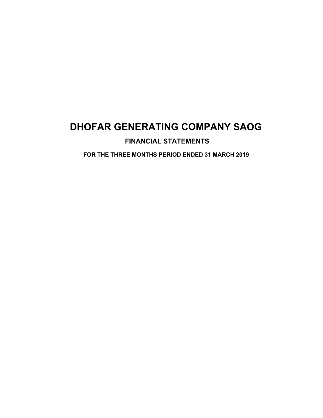# **FINANCIAL STATEMENTS**

**FOR THE THREE MONTHS PERIOD ENDED 31 MARCH 2019**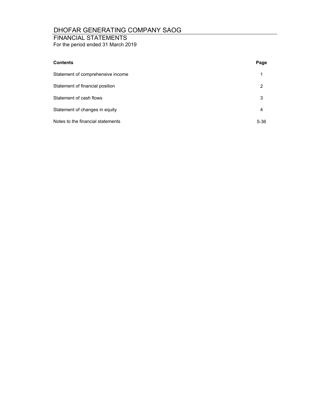## FINANCIAL STATEMENTS

For the period ended 31 March 2019

| <b>Contents</b>                   | Page |
|-----------------------------------|------|
| Statement of comprehensive income | 1    |
| Statement of financial position   | 2    |
| Statement of cash flows           | 3    |
| Statement of changes in equity    | 4    |
| Notes to the financial statements | 5-36 |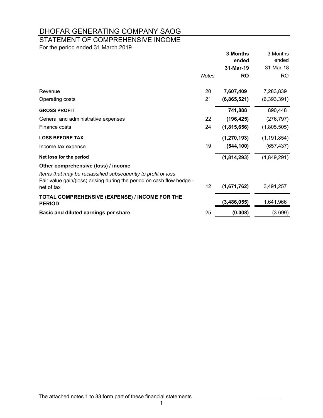# STATEMENT OF COMPREHENSIVE INCOME

For the period ended 31 March 2019

|                                                                                                                                        |              | 3 Months<br>ended | 3 Months<br>ended |
|----------------------------------------------------------------------------------------------------------------------------------------|--------------|-------------------|-------------------|
|                                                                                                                                        |              | 31-Mar-19         | 31-Mar-18         |
|                                                                                                                                        | <b>Notes</b> | <b>RO</b>         | RO.               |
| Revenue                                                                                                                                | 20           | 7,607,409         | 7,283,839         |
| Operating costs                                                                                                                        | 21           | (6,865,521)       | (6,393,391)       |
| <b>GROSS PROFIT</b>                                                                                                                    |              | 741,888           | 890,448           |
| General and administrative expenses                                                                                                    | 22           | (196, 425)        | (276, 797)        |
| Finance costs                                                                                                                          | 24           | (1,815,656)       | (1,805,505)       |
| <b>LOSS BEFORE TAX</b>                                                                                                                 |              | (1, 270, 193)     | (1, 191, 854)     |
| Income tax expense                                                                                                                     | 19           | (544, 100)        | (657, 437)        |
| Net loss for the period                                                                                                                |              | (1,814,293)       | (1,849,291)       |
| Other comprehensive (loss) / income                                                                                                    |              |                   |                   |
| Items that may be reclassified subsequently to profit or loss<br>Fair value gain/(loss) arising during the period on cash flow hedge - |              |                   |                   |
| net of tax                                                                                                                             | 12           | (1,671,762)       | 3,491,257         |
| TOTAL COMPREHENSIVE (EXPENSE) / INCOME FOR THE<br><b>PERIOD</b>                                                                        |              | (3, 486, 055)     | 1,641,966         |
| Basic and diluted earnings per share                                                                                                   | 25           | (0.008)           | (3.699)           |

The attached notes 1 to 33 form part of these financial statements.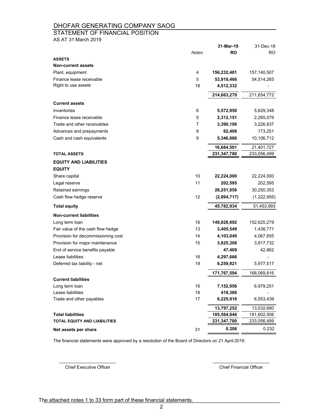#### STATEMENT OF FINANCIAL POSITION

AS AT 31 March 2019

|                                    |              | 31-Mar-19   | 31-Dec-18     |
|------------------------------------|--------------|-------------|---------------|
|                                    | <b>Notes</b> | RO          | RO.           |
| <b>ASSETS</b>                      |              |             |               |
| <b>Non-current assets</b>          |              |             |               |
| Plant, equipment                   | 4            | 156,232,481 | 157,140,507   |
| Finance lease receivable           | 5            | 53,918,466  | 54,514,265    |
| Right to use assets                | 18           | 4,512,332   |               |
|                                    |              | 214,663,279 | 211,654,772   |
| <b>Current assets</b>              |              |             |               |
| Inventories                        | 6            | 5,572,950   | 5,629,348     |
| Finance lease receivable           | 5            | 2,312,151   | 2,265,579     |
| Trade and other receivables        | 7            | 3,390,106   | 3,226,837     |
| Advances and prepayments           | 8            | 62,408      | 173,251       |
| Cash and cash equivalents          | 9            | 5,346,886   | 10,106,712    |
|                                    |              | 16,684,501  | 21,401,727    |
| <b>TOTAL ASSETS</b>                |              | 231,347,780 | 233,056,499   |
| <b>EQUITY AND LIABILITIES</b>      |              |             |               |
| <b>EQUITY</b>                      |              |             |               |
| Share capital                      | 10           | 22,224,000  | 22,224,000    |
| Legal reserve                      | 11           | 202,595     | 202,595       |
| Retained earnings                  |              | 26,251,056  | 30,250,353    |
| Cash flow hedge reserve            | 12           | (2,894,717) | (1, 222, 955) |
| <b>Total equity</b>                |              | 45,782,934  | 51,453,993    |
| <b>Non-current liabilities</b>     |              |             |               |
| Long term loan                     | 16           | 149,828,692 | 152,625,279   |
| Fair value of the cash flow hedge  | 13           | 3,405,549   | 1,438,771     |
| Provision for decommissioning cost | 14           | 4,103,049   | 4,067,655     |
| Provision for major maintenance    | 15           | 3,825,308   | 3,917,732     |
| End of service benefits payable    |              | 47,409      | 42,862        |
| Lease liabilities                  | 18           | 4,297,666   |               |
| Deferred tax liability - net       | 19           | 6,259,921   | 5,977,517     |
|                                    |              | 171,767,594 | 168,069,816   |
| <b>Current liabilities</b>         |              |             |               |
| Long term loan                     | 16           | 7,152,956   | 6,979,251     |
| Lease liabilities                  | 18           | 418,386     |               |
| Trade and other payables           | 17           | 6,225,910   | 6,553,439     |
|                                    |              | 13,797,252  | 13,532,690    |
| <b>Total liabilities</b>           |              | 185,564,846 | 181,602,506   |
| TOTAL EQUITY AND LIABILITIES       |              | 231,347,780 | 233,056,499   |
| Net assets per share               | 31           | 0.206       | 0.232         |

The financial statements were approved by a resolution of the Board of Directors on 21 April 2019.

Chief Executive Officer Chief Financial Officer

 $\mathcal{L}_\text{max}$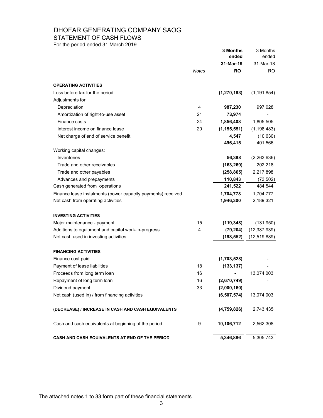### STATEMENT OF CASH FLOWS For the period ended 31 March 2019

|                                                              |              | 3 Months<br>ended | 3 Months<br>ended |
|--------------------------------------------------------------|--------------|-------------------|-------------------|
|                                                              |              | 31-Mar-19         | 31-Mar-18         |
|                                                              | <b>Notes</b> | RO                | RO.               |
| <b>OPERATING ACTIVITIES</b>                                  |              |                   |                   |
| Loss before tax for the period                               |              | (1, 270, 193)     | (1, 191, 854)     |
| Adjustments for:                                             |              |                   |                   |
| Depreciation                                                 | 4            | 987,230           | 997,028           |
| Amortization of right-to-use asset                           | 21           | 73,974            |                   |
| Finance costs                                                | 24           | 1,856,408         | 1,805,505         |
| Interest income on finance lease                             | 20           | (1, 155, 551)     | (1, 198, 483)     |
| Net charge of end of service benefit                         |              | 4,547             | (10, 630)         |
|                                                              |              | 496,415           | 401,566           |
| Working capital changes:                                     |              |                   |                   |
| Inventories                                                  |              | 56,398            | (2,263,636)       |
| Trade and other receivables                                  |              | (163, 269)        | 202,218           |
| Trade and other payables                                     |              | (258, 865)        | 2,217,898         |
| Advances and prepayments                                     |              | 110,843           | (73, 502)         |
| Cash generated from operations                               |              | 241,522           | 484,544           |
| Finance lease instalments (power capacity payments) received |              | 1,704,778         | 1,704,777         |
| Net cash from operating activities                           |              | 1,946,300         | 2,189,321         |
|                                                              |              |                   |                   |
| <b>INVESTING ACTIVITIES</b>                                  |              |                   |                   |
| Major maintenance - payment                                  | 15           | (119, 348)        | (131, 950)        |
| Additions to equipment and capital work-in-progress          | 4            | (79, 204)         | (12, 387, 939)    |
| Net cash used in investing activities                        |              | (198, 552)        | (12, 519, 889)    |
|                                                              |              |                   |                   |
| <b>FINANCING ACTIVITIES</b>                                  |              |                   |                   |
| Finance cost paid                                            |              | (1,703,528)       |                   |
| Payment of lease liabilities                                 | 18           | (133, 137)        |                   |
| Proceeds from long term loan                                 | 16           |                   | 13,074,003        |
| Repayment of long term loan                                  | 16           | (2,670,749)       |                   |
| Dividend payment                                             | 33           | (2,000,160)       |                   |
| Net cash (used in) / from financing activities               |              | (6, 507, 574)     | 13,074,003        |
| (DECREASE) / INCREASE IN CASH AND CASH EQUIVALENTS           |              | (4,759,826)       | 2,743,435         |
| Cash and cash equivalents at beginning of the period         | 9            | 10,106,712        | 2,562,308         |
| CASH AND CASH EQUIVALENTS AT END OF THE PERIOD               |              | 5,346,886         | 5,305,743         |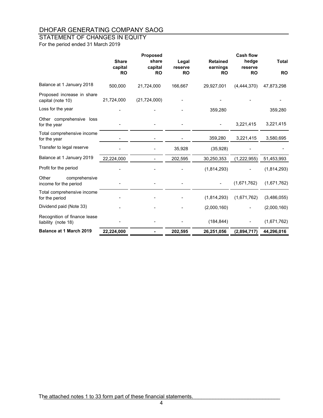#### STATEMENT OF CHANGES IN EQUITY

For the period ended 31 March 2019

|                                                     | <b>Share</b><br>capital | <b>Proposed</b><br>share<br>capital | Legal<br>reserve | <b>Retained</b><br>earnings | <b>Cash flow</b><br>hedge<br>reserve | <b>Total</b> |
|-----------------------------------------------------|-------------------------|-------------------------------------|------------------|-----------------------------|--------------------------------------|--------------|
|                                                     | <b>RO</b>               | <b>RO</b>                           | <b>RO</b>        | <b>RO</b>                   | <b>RO</b>                            | <b>RO</b>    |
| Balance at 1 January 2018                           | 500,000                 | 21,724,000                          | 166,667          | 29,927,001                  | (4,444,370)                          | 47,873,298   |
| Proposed increase in share<br>capital (note 10)     | 21,724,000              | (21, 724, 000)                      |                  |                             |                                      |              |
| Loss for the year                                   |                         |                                     |                  | 359,280                     |                                      | 359,280      |
| Other comprehensive loss<br>for the year            |                         |                                     |                  |                             | 3,221,415                            | 3,221,415    |
| Total comprehensive income<br>for the year          |                         |                                     |                  | 359,280                     | 3,221,415                            | 3,580,695    |
| Transfer to legal reserve                           |                         |                                     | 35,928           | (35, 928)                   |                                      |              |
| Balance at 1 January 2019                           | 22,224,000              |                                     | 202,595          | 30,250,353                  | (1,222,955)                          | 51,453,993   |
| Profit for the period                               |                         |                                     |                  | (1,814,293)                 |                                      | (1,814,293)  |
| Other<br>comprehensive<br>income for the period     |                         |                                     |                  |                             | (1,671,762)                          | (1,671,762)  |
| Total comprehensive income<br>for the period        |                         |                                     |                  | (1,814,293)                 | (1,671,762)                          | (3,486,055)  |
| Dividend paid (Note 33)                             |                         |                                     |                  | (2,000,160)                 |                                      | (2,000,160)  |
| Recognition of finance lease<br>liability (note 18) |                         |                                     |                  | (184, 844)                  |                                      | (1,671,762)  |
| <b>Balance at 1 March 2019</b>                      | 22,224,000              |                                     | 202,595          | 26,251,056                  | (2,894,717)                          | 44,296,016   |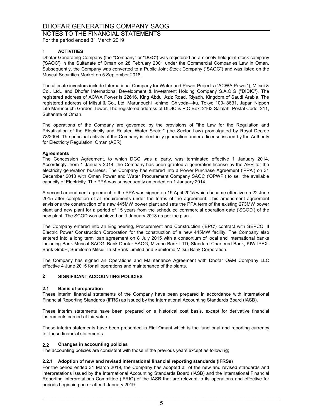NOTES TO THE FINANCIAL STATEMENTS

For the period ended 31 March 2019

#### **1 ACTIVITIES**

Dhofar Generating Company (the "Company" or "DGC") was registered as a closely held joint stock company ('SAOC') in the Sultanate of Oman on 28 February 2001 under the Commercial Companies Law in Oman. Subsequently, the Company was converted to a Public Joint Stock Company ("SAOG") and was listed on the Muscat Securities Market on 5 September 2018.

The ultimate investors include International Company for Water and Power Projects ("ACWA Power"), Mitsui & Co., Ltd., and Dhofar International Development & Investment Holding Company S.A.O.G ("DIDIC"). The registered address of ACWA Power is 22616, King Abdul Aziz Road, Riyadh, Kingdom of Saudi Arabia. The registered address of Mitsui & Co., Ltd. Marunouchi l-chime, Chiyoda—ku, Tokyo 100- 8631, Japan Nippon Life Marunouchi Garden Tower. The registered address of DIDIC is P.O.Box: 2163 Salalah, Postal Code: 211, Sultanate of Oman.

The operations of the Company are governed by the provisions of "the Law for the Regulation and Privatization of the Electricity and Related Water Sector" (the Sector Law) promulgated by Royal Decree 78/2004. The principal activity of the Company is electricity generation under a license issued by the Authority for Electricity Regulation, Oman (AER).

#### **Agreements**

The Concession Agreement, to which DGC was a party, was terminated effective 1 January 2014. Accordingly, from 1 January 2014, the Company has been granted a generation license by the AER for the electricity generation business. The Company has entered into a Power Purchase Agreement ('PPA') on 31 December 2013 with Oman Power and Water Procurement Company SAOC ('OPWP') to sell the available capacity of Electricity. The PPA was subsequently amended on 1 January 2014.

A second amendment agreement to the PPA was signed on 19 April 2015 which became effective on 22 June 2015 after completion of all requirements under the terms of the agreement. This amendment agreement envisions the construction of a new 445MW power plant and sets the PPA term of the existing 273MW power plant and new plant for a period of 15 years from the scheduled commercial operation date ('SCOD') of the new plant. The SCOD was achieved on 1 January 2018 as per the plan.

The Company entered into an Engineering, Procurement and Construction ('EPC') contract with SEPCO III Electric Power Construction Corporation for the construction of a new 445MW facility. The Company also entered into a long term loan agreement on 8 July 2015 with a consortium of local and international banks including Bank Muscat SAOG, Bank Dhofar SAOG, Mizuho Bank LTD, Standard Chartered Bank, KfW IPEX-Bank GmbH, Sumitomo Mitsui Trust Bank Limited and Sumitomo Mitsui Bank Corporation.

The Company has signed an Operations and Maintenance Agreement with Dhofar O&M Company LLC effective 4 June 2015 for all operations and maintenance of the plants.

#### **2 SIGNIFICANT ACCOUNTING POLICIES**

#### **2.1 Basis of preparation**

These interim financial statements of the Company have been prepared in accordance with International Financial Reporting Standards (IFRS) as issued by the International Accounting Standards Board (IASB).

These interim statements have been prepared on a historical cost basis, except for derivative financial instruments carried at fair value.

These interim statements have been presented in Rial Omani which is the functional and reporting currency for these financial statements.

#### **2.2 Changes in accounting policies**

The accounting policies are consistent with those in the previous years except as following;

#### **2.2.1 Adoption of new and revised international financial reporting standards (IFRSs)**

For the period ended 31 March 2019, the Company has adopted all of the new and revised standards and interpretations issued by the International Accounting Standards Board (IASB) and the International Financial Reporting Interpretations Committee (IFRIC) of the IASB that are relevant to its operations and effective for periods beginning on or after 1 January 2019.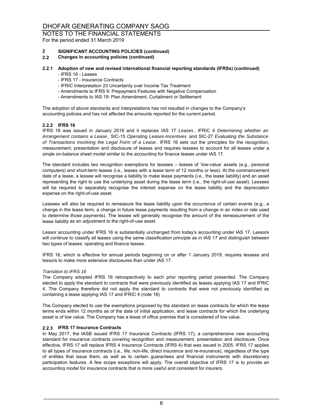#### NOTES TO THE FINANCIAL STATEMENTS For the period ended 31 March 2019

### **2 SIGNIFICANT ACCOUNTING POLICIES (continued)**

**2.2 Changes in accounting policies (continued)**

#### **2.2.1 Adoption of new and revised international financial reporting standards (IFRSs) (continued)**

- IFRS 16 Leases
- IFRS 17 Insurance Contracts
- IFRIC Interpretation 23 Uncertainty over Income Tax Treatment
- Amendments to IFRS 9: Prepayment Features with Negative Compensation
- Amendments to IAS 19: Plan Amendment, Curtailment or Settlement

The adoption of above standards and interpretations has not resulted in changes to the Company's accounting policies and has not affected the amounts reported for the current period.

#### **2.2.2 IFRS 16**

IFRS 16 was issued in January 2016 and it replaces IAS 17 *Leases* , IFRIC 4 *Determining whether an Arrangement contains a Lease* , SIC-15 *Operating Leases-Incentives* and SIC-27 *Evaluating the Substance of Transactions Involving the Legal Form of a Lease* . IFRS 16 sets out the principles for the recognition, measurement, presentation and disclosure of leases and requires lessees to account for all leases under a single on-balance sheet model similar to the accounting for finance leases under IAS 17.

The standard includes two recognition exemptions for lessees – leases of 'low-value' assets (e.g., personal computers) and short-term leases (i.e., leases with a lease term of 12 months or less). At the commencement date of a lease, a lessee will recognise a liability to make lease payments (i.e., the lease liability) and an asset representing the right to use the underlying asset during the lease term (i.e., the right-of-use asset). Lessees will be required to separately recognise the interest expense on the lease liability and the depreciation expense on the right-of-use asset.

Lessees will also be required to remeasure the lease liability upon the occurrence of certain events (e.g., a change in the lease term, a change in future lease payments resulting from a change in an index or rate used to determine those payments). The lessee will generally recognise the amount of the remeasurement of the lease liability as an adjustment to the right-of-use asset.

Lessor accounting under IFRS 16 is substantially unchanged from today's accounting under IAS 17. Lessors will continue to classify all leases using the same classification principle as in IAS 17 and distinguish between two types of leases: operating and finance leases.

IFRS 16, which is effective for annual periods beginning on or after 1 January 2019, requires lessees and lessors to make more extensive disclosures than under IAS 17.

#### *Transition to IFRS 16*

The Company adopted IFRS 16 retrospectively to each prior reporting period presented. The Company elected to apply the standard to contracts that were previously identified as leases applying IAS 17 and IFRIC 4. The Company therefore did not apply the standard to contracts that were not previously identified as containing a lease applying IAS 17 and IFRIC 4 (note 18)

The Company elected to use the exemptions proposed by the standard on lease contracts for which the lease terms ends within 12 months as of the date of initial application, and lease contracts for which the underlying asset is of low value. The Company has a lease of office premise that is considered of low value.

#### **2.2.3 IFRS 17 Insurance Contracts**

In May 2017, the IASB issued IFRS 17 Insurance Contracts (IFRS 17), a comprehensive new accounting standard for insurance contracts covering recognition and measurement, presentation and disclosure. Once effective, IFRS 17 will replace IFRS 4 Insurance Contracts (IFRS 4) that was issued in 2005. IFRS 17 applies to all types of insurance contracts (i.e., life, non-life, direct insurance and re-insurance), regardless of the type of entities that issue them, as well as to certain guarantees and financial instruments with discretionary participation features. A few scope exceptions will apply. The overall objective of IFRS 17 is to provide an accounting model for insurance contracts that is more useful and consistent for insurers.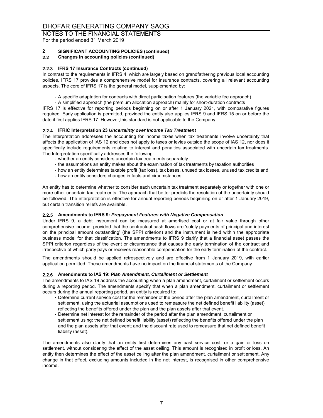#### NOTES TO THE FINANCIAL STATEMENTS For the period ended 31 March 2019

### **2 SIGNIFICANT ACCOUNTING POLICIES (continued)**

#### **2.2 Changes in accounting policies (continued)**

#### **2.2.3 IFRS 17 Insurance Contracts (continued)**

In contrast to the requirements in IFRS 4, which are largely based on grandfathering previous local accounting policies, IFRS 17 provides a comprehensive model for insurance contracts, covering all relevant accounting aspects. The core of IFRS 17 is the general model, supplemented by:

- A specific adaptation for contracts with direct participation features (the variable fee approach)

- A simplified approach (the premium allocation approach) mainly for short-duration contracts

IFRS 17 is effective for reporting periods beginning on or after 1 January 2021, with comparative figures required. Early application is permitted, provided the entity also applies IFRS 9 and IFRS 15 on or before the date it first applies IFRS 17. However,this standard is not applicable to the Company.

#### **2.2.4 IFRIC Interpretation 23** *Uncertainty over Income Tax Treatment*

The Interpretation addresses the accounting for income taxes when tax treatments involve uncertainty that affects the application of IAS 12 and does not apply to taxes or levies outside the scope of IAS 12, nor does it specifically include requirements relating to interest and penalties associated with uncertain tax treatments. The Interpretation specifically addresses the following:

- whether an entity considers uncertain tax treatments separately
- the assumptions an entity makes about the examination of tax treatments by taxation authorities
- how an entity determines taxable profit (tax loss), tax bases, unused tax losses, unused tax credits and
- how an entity considers changes in facts and circumstances

An entity has to determine whether to consider each uncertain tax treatment separately or together with one or more other uncertain tax treatments. The approach that better predicts the resolution of the uncertainty should be followed. The interpretation is effective for annual reporting periods beginning on or after 1 January 2019, but certain transition reliefs are available.

#### **2.2.5 Amendments to IFRS 9:** *Prepayment Features with Negative Compensation*

Under IFRS 9, a debt instrument can be measured at amortised cost or at fair value through other comprehensive income, provided that the contractual cash flows are 'solely payments of principal and interest on the principal amount outstanding' (the SPPI criterion) and the instrument is held within the appropriate business model for that classification. The amendments to IFRS 9 clarify that a financial asset passes the SPPI criterion regardless of the event or circumstance that causes the early termination of the contract and irrespective of which party pays or receives reasonable compensation for the early termination of the contract.

The amendments should be applied retrospectively and are effective from 1 January 2019, with earlier application permitted. These amendments have no impact on the financial statements of the Company.

#### **2.2.6 Amendments to IAS 19:** *Plan Amendment, Curtailment or Settlement*

The amendments to IAS 19 address the accounting when a plan amendment, curtailment or settlement occurs during a reporting period. The amendments specify that when a plan amendment, curtailment or settlement occurs during the annual reporting period, an entity is required to:

- Determine current service cost for the remainder of the period after the plan amendment, curtailment or settlement, using the actuarial assumptions used to remeasure the net defined benefit liability (asset) reflecting the benefits offered under the plan and the plan assets after that event.
- Determine net interest for the remainder of the period after the plan amendment, curtailment or settlement using: the net defined benefit liability (asset) reflecting the benefits offered under the plan and the plan assets after that event; and the discount rate used to remeasure that net defined benefit liability (asset).

The amendments also clarify that an entity first determines any past service cost, or a gain or loss on settlement, without considering the effect of the asset ceiling. This amount is recognised in profit or loss. An entity then determines the effect of the asset ceiling after the plan amendment, curtailment or settlement. Any change in that effect, excluding amounts included in the net interest, is recognised in other comprehensive income.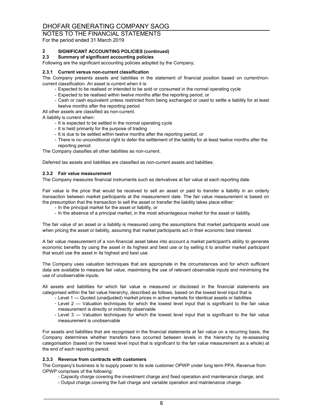## NOTES TO THE FINANCIAL STATEMENTS

For the period ended 31 March 2019

### **2 SIGNIFICANT ACCOUNTING POLICIES (continued)**

#### **2.3 Summary of significant accounting policies**

Following are the significant accounting policies adopted by the Company;

#### **2.3.1 Current versus non-current classification**

The Company presents assets and liabilities in the statement of financial position based on current/noncurrent classification. An asset is current when it is:

- Expected to be realised or intended to be sold or consumed in the normal operating cycle
- Expected to be realised within twelve months after the reporting period, or
- Cash or cash equivalent unless restricted from being exchanged or used to settle a liability for at least twelve months after the reporting period
- All other assets are classified as non-current.

A liability is current when:

- It is expected to be settled in the normal operating cycle
- It is held primarily for the purpose of trading
- It is due to be settled within twelve months after the reporting period, or
- There is no unconditional right to defer the settlement of the liability for at least twelve months after the reporting period

The Company classifies all other liabilities as non-current.

Deferred tax assets and liabilities are classified as non-current assets and liabilities.

#### **2.3.2 Fair value measurement**

The Company measures financial instruments such as derivatives at fair value at each reporting date.

Fair value is the price that would be received to sell an asset or paid to transfer a liability in an orderly transaction between market participants at the measurement date. The fair value measurement is based on the presumption that the transaction to sell the asset or transfer the liability takes place either:

- In the principal market for the asset or liability, or
- In the absence of a principal market, in the most advantageous market for the asset or liability.

The fair value of an asset or a liability is measured using the assumptions that market participants would use when pricing the asset or liability, assuming that market participants act in their economic best interest.

A fair value measurement of a non-financial asset takes into account a market participant's ability to generate economic benefits by using the asset in its highest and best use or by selling it to another market participant that would use the asset in its highest and best use.

The Company uses valuation techniques that are appropriate in the circumstances and for which sufficient data are available to measure fair value, maximising the use of relevant observable inputs and minimising the use of unobservable inputs.

All assets and liabilities for which fair value is measured or disclosed in the financial statements are categorised within the fair value hierarchy, described as follows, based on the lowest level input that is

- Level 1 Quoted (unadjusted) market prices in active markets for identical assets or liabilities
- Level 2 Valuation techniques for which the lowest level input that is significant to the fair value measurement is directly or indirectly observable
- Level 3 Valuation techniques for which the lowest level input that is significant to the fair value measurement is unobservable

For assets and liabilities that are recognised in the financial statements at fair value on a recurring basis, the Company determines whether transfers have occurred between levels in the hierarchy by re-assessing categorisation (based on the lowest level input that is significant to the fair value measurement as a whole) at the end of each reporting period.

#### **2.3.3 Revenue from contracts with customers**

The Company's business is to supply power to its sole customer OPWP under long term PPA. Revenue from OPWP comprises of the following:

- Capacity charge covering the investment charge and fixed operation and maintenance charge; and
- Output charge covering the fuel charge and variable operation and maintenance charge.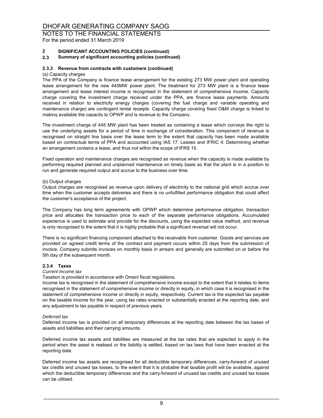NOTES TO THE FINANCIAL STATEMENTS For the period ended 31 March 2019

#### **2 SIGNIFICANT ACCOUNTING POLICIES (continued)**

**2.3 Summary of significant accounting policies (continued)**

#### **2.3.3 Revenue from contracts with customers (continued)**

#### (a) Capacity charges

The PPA of the Company is finance lease arrangement for the existing 273 MW power plant and operating lease arrangement for the new 445MW power plant. The treatment for 273 MW plant is a finance lease arrangement and lease interest income is recognised in the statement of comprehensive income. Capacity charge covering the investment charge received under the PPA, are finance lease payments. Amounts received in relation to electricity energy charges (covering the fuel charge and variable operating and maintenance charge) are contingent rental receipts. Capacity charge covering fixed O&M charge is linked to making available the capacity to OPWP and is revenue to the Company.

The investment charge of 445 MW plant has been treated as containing a lease which conveys the right to use the underlying assets for a period of time in exchange of consideration. This component of revenue is recognised on straight line basis over the lease term to the extent that capacity has been made available based on contractual terms of PPA and accounted using IAS 17: Leases and IFRIC 4: Determining whether an arrangement contains a lease, and thus not within the scope of IFRS 15.

Fixed operation and maintenance charges are recognised as revenue when the capacity is made available by performing required planned and unplanned maintenance on timely basis so that the plant is in a position to run and generate required output and accrue to the business over time.

#### (b) Output charges

Output charges are recognised as revenue upon delivery of electricity to the national grid which accrue over time when the customer accepts deliveries and there is no unfulfilled performance obligation that could affect the customer's acceptance of the project.

The Company has long term agreements with OPWP which determine performance obligation, transaction price and allocates the transaction price to each of the separate performance obligations. Accumulated experience is used to estimate and provide for the discounts, using the expected value method, and revenue is only recognised to the extent that it is highly probable that a significant reversal will not occur.

There is no significant financing component attached to the receivable from customer. Goods and services are provided on agreed credit terms of the contract and payment occurs within 25 days from the submission of invoice. Company submits invoices on monthly basis in arrears and generally are submitted on or before the 5th day of the subsequent month.

#### **2.3.4 Taxes**

#### *Current income tax*

Taxation is provided in accordance with Omani fiscal regulations.

Income tax is recognised in the statement of comprehensive income except to the extent that it relates to items recognised in the statement of comprehensive income or directly in equity, in which case it is recognised in the statement of comprehensive income or directly in equity, respectively. Current tax is the expected tax payable on the taxable income for the year, using tax rates enacted or substantially enacted at the reporting date, and any adjustment to tax payable in respect of previous years.

#### *Deferred tax*

Deferred income tax is provided on all temporary differences at the reporting date between the tax bases of assets and liabilities and their carrying amounts.

Deferred income tax assets and liabilities are measured at the tax rates that are expected to apply in the period when the asset is realised or the liability is settled, based on tax laws that have been enacted at the reporting date.

Deferred income tax assets are recognised for all deductible temporary differences, carry-forward of unused tax credits and unused tax losses, to the extent that it is probable that taxable profit will be available, against which the deductible temporary differences and the carry-forward of unused tax credits and unused tax losses can be utilised.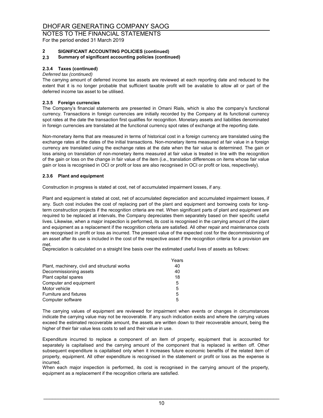NOTES TO THE FINANCIAL STATEMENTS For the period ended 31 March 2019

### **2 SIGNIFICANT ACCOUNTING POLICIES (continued)**

**2.3 Summary of significant accounting policies (continued)**

#### **2.3.4 Taxes (continued)**

#### *Deferred tax (continued)*

The carrying amount of deferred income tax assets are reviewed at each reporting date and reduced to the extent that it is no longer probable that sufficient taxable profit will be available to allow all or part of the deferred income tax asset to be utilised.

#### **2.3.5 Foreign currencies**

The Company's financial statements are presented in Omani Rials, which is also the company's functional currency. Transactions in foreign currencies are initially recorded by the Company at its functional currency spot rates at the date the transaction first qualifies for recognition. Monetary assets and liabilities denominated in foreign currencies are translated at the functional currency spot rates of exchange at the reporting date.

Non-monetary items that are measured in terms of historical cost in a foreign currency are translated using the exchange rates at the dates of the initial transactions. Non-monetary items measured at fair value in a foreign currency are translated using the exchange rates at the date when the fair value is determined. The gain or loss arising on translation of non-monetary items measured at fair value is treated in line with the recognition of the gain or loss on the change in fair value of the item (i.e., translation differences on items whose fair value gain or loss is recognised in OCI or profit or loss are also recognised in OCI or profit or loss, respectively).

#### **2.3.6 Plant and equipment**

Construction in progress is stated at cost, net of accumulated impairment losses, if any.

Plant and equipment is stated at cost, net of accumulated depreciation and accumulated impairment losses, if any. Such cost includes the cost of replacing part of the plant and equipment and borrowing costs for longterm construction projects if the recognition criteria are met. When significant parts of plant and equipment are required to be replaced at intervals, the Company depreciates them separately based on their specific useful lives. Likewise, when a major inspection is performed, its cost is recognised in the carrying amount of the plant and equipment as a replacement if the recognition criteria are satisfied. All other repair and maintenance costs are recognised in profit or loss as incurred. The present value of the expected cost for the decommissioning of an asset after its use is included in the cost of the respective asset if the recognition criteria for a provision are met.

Depreciation is calculated on a straight line basis over the estimated useful lives of assets as follows:

|                                              | Years |
|----------------------------------------------|-------|
| Plant, machinery, civil and structural works | 40    |
| Decommissioning assets                       | 40    |
| Plant capital spares                         | 18    |
| Computer and equipment                       | 5     |
| Motor vehicle                                | 5     |
| Furniture and fixtures                       | 5     |
| Computer software                            | 5     |

The carrying values of equipment are reviewed for impairment when events or changes in circumstances indicate the carrying value may not be recoverable. If any such indication exists and where the carrying values exceed the estimated recoverable amount, the assets are written down to their recoverable amount, being the higher of their fair value less costs to sell and their value in use.

Expenditure incurred to replace a component of an item of property, equipment that is accounted for separately is capitalised and the carrying amount of the component that is replaced is written off. Other subsequent expenditure is capitalised only when it increases future economic benefits of the related item of property, equipment. All other expenditure is recognised in the statement or profit or loss as the expense is incurred.

When each major inspection is performed, its cost is recognised in the carrying amount of the property, equipment as a replacement if the recognition criteria are satisfied.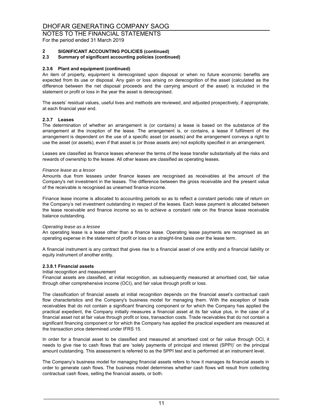NOTES TO THE FINANCIAL STATEMENTS For the period ended 31 March 2019

### **2 SIGNIFICANT ACCOUNTING POLICIES (continued)**

**2.3 Summary of significant accounting policies (continued)**

#### **2.3.6 Plant and equipment (continued)**

An item of property, equipment is derecognised upon disposal or when no future economic benefits are expected from its use or disposal. Any gain or loss arising on derecognition of the asset (calculated as the difference between the net disposal proceeds and the carrying amount of the asset) is included in the statement or profit or loss in the year the asset is derecognised.

The assets' residual values, useful lives and methods are reviewed, and adjusted prospectively, if appropriate, at each financial year end.

#### **2.3.7 Leases**

The determination of whether an arrangement is (or contains) a lease is based on the substance of the arrangement at the inception of the lease. The arrangement is, or contains, a lease if fulfilment of the arrangement is dependent on the use of a specific asset (or assets) and the arrangement conveys a right to use the asset (or assets), even if that asset is (or those assets are) not explicitly specified in an arrangement.

Leases are classified as finance leases whenever the terms of the lease transfer substantially all the risks and rewards of ownership to the lessee. All other leases are classified as operating leases.

#### *Finance lease as a lessor*

Amounts due from lessees under finance leases are recognised as receivables at the amount of the Company's net investment in the leases. The difference between the gross receivable and the present value of the receivable is recognised as unearned finance income.

Finance lease income is allocated to accounting periods so as to reflect a constant periodic rate of return on the Company's net investment outstanding in respect of the leases. Each lease payment is allocated between the lease receivable and finance income so as to achieve a constant rate on the finance lease receivable balance outstanding.

#### *Operating lease as a lessee*

An operating lease is a lease other than a finance lease. Operating lease payments are recognised as an operating expense in the statement of profit or loss on a straight-line basis over the lease term.

A financial instrument is any contract that gives rise to a financial asset of one entity and a financial liability or equity instrument of another entity.

#### **2.3.8.1 Financial assets**

#### Initial recognition and measurement

Financial assets are classified, at initial recognition, as subsequently measured at amortised cost, fair value through other comprehensive income (OCI), and fair value through profit or loss.

The classification of financial assets at initial recognition depends on the financial asset's contractual cash flow characteristics and the Company's business model for managing them. With the exception of trade receivables that do not contain a significant financing component or for which the Company has applied the practical expedient, the Company initially measures a financial asset at its fair value plus, in the case of a financial asset not at fair value through profit or loss, transaction costs. Trade receivables that do not contain a significant financing component or for which the Company has applied the practical expedient are measured at the transaction price determined under IFRS 15.

In order for a financial asset to be classified and measured at amortised cost or fair value through OCI, it needs to give rise to cash flows that are 'solely payments of principal and interest (SPPI)' on the principal amount outstanding. This assessment is referred to as the SPPI test and is performed at an instrument level.

The Company's business model for managing financial assets refers to how it manages its financial assets in order to generate cash flows. The business model determines whether cash flows will result from collecting contractual cash flows, selling the financial assets, or both.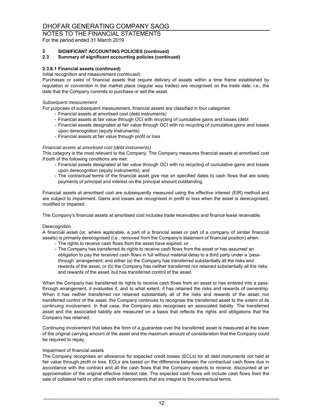## NOTES TO THE FINANCIAL STATEMENTS

For the period ended 31 March 2019

### **2 SIGNIFICANT ACCOUNTING POLICIES (continued)**

#### **2.3 Summary of significant accounting policies (continued)**

#### **2.3.8.1 Financial assets (continued)**

#### Initial recognition and measurement (continued)

Purchases or sales of financial assets that require delivery of assets within a time frame established by regulation or convention in the market place (regular way trades) are recognised on the trade date, i.e., the date that the Company commits to purchase or sell the asset.

#### *Subsequent measurement*

For purposes of subsequent measurement, financial assets are classified in four categories:

- Financial assets at amortised cost (debt instruments)
- Financial assets at fair value through OCI with recycling of cumulative gains and losses (debt
- Financial assets designated at fair value through OCI with no recycling of cumulative gains and losses upon derecognition (equity instruments)
- Financial assets at fair value through profit or loss

#### *Financial assets at amortised cost (debt instruments)*

This category is the most relevant to the Company. The Company measures financial assets at amortised cost if both of the following conditions are met:

- Financial assets designated at fair value through OCI with no recycling of cumulative gains and losses upon derecognition (equity instruments), and
- The contractual terms of the financial asset give rise on specified dates to cash flows that are solely payments of principal and interest on the principal amount outstanding.

Financial assets at amortised cost are subsequently measured using the effective interest (EIR) method and are subject to impairment. Gains and losses are recognised in profit or loss when the asset is derecognised, modified or impaired.

The Company's financial assets at amortised cost includes trade receivables and finance lease receivable.

#### Derecognition

A financial asset (or, where applicable, a part of a financial asset or part of a company of similar financial assets) is primarily derecognised (i.e., removed from the Company's statement of financial position) when:

- The rights to receive cash flows from the asset have expired, or
- The Company has transferred its rights to receive cash flows from the asset or has assumed an obligation to pay the received cash flows in full without material delay to a third party under a 'passthrough' arrangement; and either (a) the Company has transferred substantially all the risks and rewards of the asset, or (b) the Company has neither transferred nor retained substantially all the risks and rewards of the asset, but has transferred control of the asset.

When the Company has transferred its rights to receive cash flows from an asset or has entered into a passthrough arrangement, it evaluates if, and to what extent, it has retained the risks and rewards of ownership. When it has neither transferred nor retained substantially all of the risks and rewards of the asset, nor transferred control of the asset, the Company continues to recognise the transferred asset to the extent of its continuing involvement. In that case, the Company also recognises an associated liability. The transferred asset and the associated liability are measured on a basis that reflects the rights and obligations that the Company has retained.

Continuing involvement that takes the form of a guarantee over the transferred asset is measured at the lower of the original carrying amount of the asset and the maximum amount of consideration that the Company could be required to repay.

#### Impairment of financial assets

The Company recognises an allowance for expected credit losses (ECLs) for all debt instruments not held at fair value through profit or loss. ECLs are based on the difference between the contractual cash flows due in accordance with the contract and all the cash flows that the Company expects to receive, discounted at an approximation of the original effective interest rate. The expected cash flows will include cash flows from the sale of collateral held or other credit enhancements that are integral to the contractual terms.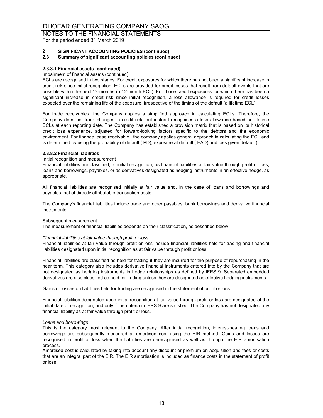NOTES TO THE FINANCIAL STATEMENTS

For the period ended 31 March 2019

### **2 SIGNIFICANT ACCOUNTING POLICIES (continued)**

#### **2.3 Summary of significant accounting policies (continued)**

#### **2.3.8.1 Financial assets (continued)**

#### Impairment of financial assets (continued)

ECLs are recognised in two stages. For credit exposures for which there has not been a significant increase in credit risk since initial recognition, ECLs are provided for credit losses that result from default events that are possible within the next 12-months (a 12-month ECL). For those credit exposures for which there has been a significant increase in credit risk since initial recognition, a loss allowance is required for credit losses expected over the remaining life of the exposure, irrespective of the timing of the default (a lifetime ECL).

For trade receivables, the Company applies a simplified approach in calculating ECLs. Therefore, the Company does not track changes in credit risk, but instead recognises a loss allowance based on lifetime ECLs at each reporting date. The Company has established a provision matrix that is based on its historical credit loss experience, adjusted for forward-looking factors specific to the debtors and the economic environment. For finance lease receivable , the company applies general approach in calculating the ECL and is determined by using the probability of default ( PD), exposure at default ( EAD) and loss given default (

#### **2.3.8.2 Financial liabilities**

#### Initial recognition and measurement

Financial liabilities are classified, at initial recognition, as financial liabilities at fair value through profit or loss, loans and borrowings, payables, or as derivatives designated as hedging instruments in an effective hedge, as appropriate.

All financial liabilities are recognised initially at fair value and, in the case of loans and borrowings and payables, net of directly attributable transaction costs.

The Company's financial liabilities include trade and other payables, bank borrowings and derivative financial instruments.

#### Subsequent measurement

The measurement of financial liabilities depends on their classification, as described below:

#### *Financial liabilities at fair value through profit or loss*

Financial liabilities at fair value through profit or loss include financial liabilities held for trading and financial liabilities designated upon initial recognition as at fair value through profit or loss.

Financial liabilities are classified as held for trading if they are incurred for the purpose of repurchasing in the near term. This category also includes derivative financial instruments entered into by the Company that are not designated as hedging instruments in hedge relationships as defined by IFRS 9. Separated embedded derivatives are also classified as held for trading unless they are designated as effective hedging instruments.

Gains or losses on liabilities held for trading are recognised in the statement of profit or loss.

Financial liabilities designated upon initial recognition at fair value through profit or loss are designated at the initial date of recognition, and only if the criteria in IFRS 9 are satisfied. The Company has not designated any financial liability as at fair value through profit or loss.

#### *Loans and borrowings*

This is the category most relevant to the Company. After initial recognition, interest-bearing loans and borrowings are subsequently measured at amortised cost using the EIR method. Gains and losses are recognised in profit or loss when the liabilities are derecognised as well as through the EIR amortisation process.

Amortised cost is calculated by taking into account any discount or premium on acquisition and fees or costs that are an integral part of the EIR. The EIR amortisation is included as finance costs in the statement of profit or loss.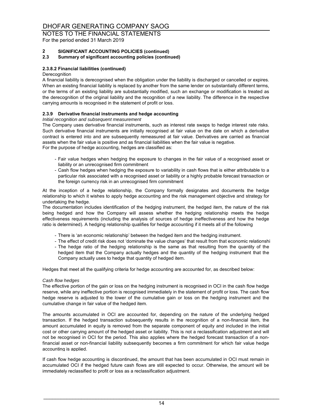NOTES TO THE FINANCIAL STATEMENTS

For the period ended 31 March 2019

### **2 SIGNIFICANT ACCOUNTING POLICIES (continued)**

**2.3 Summary of significant accounting policies (continued)**

#### **2.3.8.2 Financial liabilities (continued)**

#### **Derecognition**

A financial liability is derecognised when the obligation under the liability is discharged or cancelled or expires. When an existing financial liability is replaced by another from the same lender on substantially different terms, or the terms of an existing liability are substantially modified, such an exchange or modification is treated as the derecognition of the original liability and the recognition of a new liability. The difference in the respective carrying amounts is recognised in the statement of profit or loss.

#### **2.3.9 Derivative financial instruments and hedge accounting**

*Initial recognition and subsequent measurement*

For the purpose of hedge accounting, hedges are classified as: The Company uses derivative financial instruments, such as interest rate swaps to hedge interest rate risks. Such derivative financial instruments are initially recognised at fair value on the date on which a derivative contract is entered into and are subsequently remeasured at fair value. Derivatives are carried as financial assets when the fair value is positive and as financial liabilities when the fair value is negative.

- Fair value hedges when hedging the exposure to changes in the fair value of a recognised asset or liability or an unrecognised firm commitment
- Cash flow hedges when hedging the exposure to variability in cash flows that is either attributable to a particular risk associated with a recognised asset or liability or a highly probable forecast transaction or the foreign currency risk in an unrecognised firm commitment

At the inception of a hedge relationship, the Company formally designates and documents the hedge relationship to which it wishes to apply hedge accounting and the risk management objective and strategy for undertaking the hedge.

The documentation includes identification of the hedging instrument, the hedged item, the nature of the risk being hedged and how the Company will assess whether the hedging relationship meets the hedge effectiveness requirements (including the analysis of sources of hedge ineffectiveness and how the hedge ratio is determined). A hedging relationship qualifies for hedge accounting if it meets all of the following

- There is 'an economic relationship' between the hedged item and the hedging instrument.
- The effect of credit risk does not 'dominate the value changes' that result from that economic relationshi
- The hedge ratio of the hedging relationship is the same as that resulting from the quantity of the hedged item that the Company actually hedges and the quantity of the hedging instrument that the Company actually uses to hedge that quantity of hedged item.

Hedges that meet all the qualifying criteria for hedge accounting are accounted for, as described below:

#### *Cash flow hedges*

The effective portion of the gain or loss on the hedging instrument is recognised in OCI in the cash flow hedge reserve, while any ineffective portion is recognised immediately in the statement of profit or loss. The cash flow hedge reserve is adjusted to the lower of the cumulative gain or loss on the hedging instrument and the cumulative change in fair value of the hedged item.

The amounts accumulated in OCI are accounted for, depending on the nature of the underlying hedged transaction. If the hedged transaction subsequently results in the recognition of a non-financial item, the amount accumulated in equity is removed from the separate component of equity and included in the initial cost or other carrying amount of the hedged asset or liability. This is not a reclassification adjustment and will not be recognised in OCI for the period. This also applies where the hedged forecast transaction of a nonfinancial asset or non-financial liability subsequently becomes a firm commitment for which fair value hedge accounting is applied.

If cash flow hedge accounting is discontinued, the amount that has been accumulated in OCI must remain in accumulated OCI if the hedged future cash flows are still expected to occur. Otherwise, the amount will be immediately reclassified to profit or loss as a reclassification adjustment.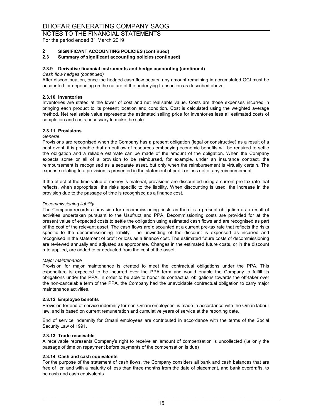NOTES TO THE FINANCIAL STATEMENTS For the period ended 31 March 2019

#### **2 SIGNIFICANT ACCOUNTING POLICIES (continued)**

**2.3 Summary of significant accounting policies (continued)**

#### **2.3.9 Derivative financial instruments and hedge accounting (continued)**

#### *Cash flow hedges (continued)*

After discontinuation, once the hedged cash flow occurs, any amount remaining in accumulated OCI must be accounted for depending on the nature of the underlying transaction as described above.

#### **2.3.10 Inventories**

Inventories are stated at the lower of cost and net realisable value. Costs are those expenses incurred in bringing each product to its present location and condition. Cost is calculated using the weighted average method. Net realisable value represents the estimated selling price for inventories less all estimated costs of completion and costs necessary to make the sale.

#### **2.3.11 Provisions**

#### *General*

Provisions are recognised when the Company has a present obligation (legal or constructive) as a result of a past event, it is probable that an outflow of resources embodying economic benefits will be required to settle the obligation and a reliable estimate can be made of the amount of the obligation. When the Company expects some or all of a provision to be reimbursed, for example, under an insurance contract, the reimbursement is recognised as a separate asset, but only when the reimbursement is virtually certain. The expense relating to a provision is presented in the statement of profit or loss net of any reimbursement.

If the effect of the time value of money is material, provisions are discounted using a current pre-tax rate that reflects, when appropriate, the risks specific to the liability. When discounting is used, the increase in the provision due to the passage of time is recognised as a finance cost.

#### *Decommissioning liability*

The Company records a provision for decommissioning costs as there is a present obligation as a result of activities undertaken pursuant to the Usufruct and PPA. Decommissioning costs are provided for at the present value of expected costs to settle the obligation using estimated cash flows and are recognised as part of the cost of the relevant asset. The cash flows are discounted at a current pre-tax rate that reflects the risks specific to the decommissioning liability. The unwinding of the discount is expensed as incurred and recognised in the statement of profit or loss as a finance cost. The estimated future costs of decommissioning are reviewed annually and adjusted as appropriate. Changes in the estimated future costs, or in the discount rate applied, are added to or deducted from the cost of the asset.

#### *Major maintenance*

Provision for major maintenance is created to meet the contractual obligations under the PPA. This expenditure is expected to be incurred over the PPA term and would enable the Company to fulfill its obligations under the PPA. In order to be able to honor its contractual obligations towards the off-taker over the non-cancelable term of the PPA, the Company had the unavoidable contractual obligation to carry major maintenance activities.

#### **2.3.12 Employee benefits**

Provision for end of service indemnity for non-Omani employees' is made in accordance with the Oman labour law, and is based on current remuneration and cumulative years of service at the reporting date.

End of service indemnity for Omani employees are contributed in accordance with the terms of the Social Security Law of 1991.

#### **2.3.13 Trade receivable**

A receivable represents Company's right to receive an amount of compensation is uncollected (i.e only the passage of time on repayment before payments of the compensation is due)

#### **2.3.14 Cash and cash equivalents**

For the purpose of the statement of cash flows, the Company considers all bank and cash balances that are free of lien and with a maturity of less than three months from the date of placement, and bank overdrafts, to be cash and cash equivalents.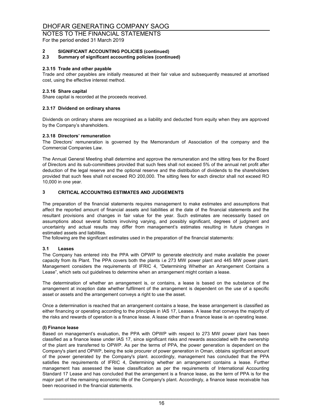NOTES TO THE FINANCIAL STATEMENTS For the period ended 31 March 2019

### **2 SIGNIFICANT ACCOUNTING POLICIES (continued)**

**2.3 Summary of significant accounting policies (continued)**

#### **2.3.15 Trade and other payable**

Trade and other payables are initially measured at their fair value and subsequently measured at amortised cost, using the effective interest method.

#### **2.3.16 Share capital**

Share capital is recorded at the proceeds received.

#### **2.3.17 Dividend on ordinary shares**

Dividends on ordinary shares are recognised as a liability and deducted from equity when they are approved by the Company's shareholders.

#### **2.3.18 Directors' remuneration**

The Directors' remuneration is governed by the Memorandum of Association of the company and the Commercial Companies Law.

The Annual General Meeting shall determine and approve the remuneration and the sitting fees for the Board of Directors and its sub-committees provided that such fees shall not exceed 5% of the annual net profit after deduction of the legal reserve and the optional reserve and the distribution of dividends to the shareholders provided that such fees shall not exceed RO 200,000. The sitting fees for each director shall not exceed RO 10,000 in one year.

#### **3 CRITICAL ACCOUNTING ESTIMATES AND JUDGEMENTS**

The preparation of the financial statements requires management to make estimates and assumptions that affect the reported amount of financial assets and liabilities at the date of the financial statements and the resultant provisions and changes in fair value for the year. Such estimates are necessarily based on assumptions about several factors involving varying, and possibly significant, degrees of judgment and uncertainty and actual results may differ from management's estimates resulting in future changes in estimated assets and liabilities.

The following are the significant estimates used in the preparation of the financial statements:

#### **3.1 Leases**

The Company has entered into the PPA with OPWP to generate electricity and make available the power capacity from its Plant. The PPA covers both the plants i.e 273 MW power plant and 445 MW power plant. Management considers the requirements of IFRIC 4, "Determining Whether an Arrangement Contains a Lease", which sets out guidelines to determine when an arrangement might contain a lease.

The determination of whether an arrangement is, or contains, a lease is based on the substance of the arrangement at inception date whether fulfilment of the arrangement is dependent on the use of a specific asset or assets and the arrangement conveys a right to use the asset.

Once a determination is reached that an arrangement contains a lease, the lease arrangement is classified as either financing or operating according to the principles in IAS 17, Leases. A lease that conveys the majority of the risks and rewards of operation is a finance lease. A lease other than a finance lease is an operating lease.

#### **(I) Finance lease**

Based on management's evaluation, the PPA with OPWP with respect to 273 MW power plant has been classified as a finance lease under IAS 17, since significant risks and rewards associated with the ownership of the plant are transferred to OPWP. As per the terms of PPA, the power generation is dependent on the Company's plant and OPWP, being the sole procurer of power generation in Oman, obtains significant amount of the power generated by the Company's plant. accordingly, management has concluded that the PPA satisfies the requirements of IFRIC 4, Determining whether an arrangement contains a lease. Further management has assessed the lease classification as per the requirements of International Accounting Standard 17 Lease and has concluded that the arrangement is a finance lease, as the term of PPA is for the major part of the remaining economic life of the Company's plant. Accordingly, a finance lease receivable has been recognised in the financial statements.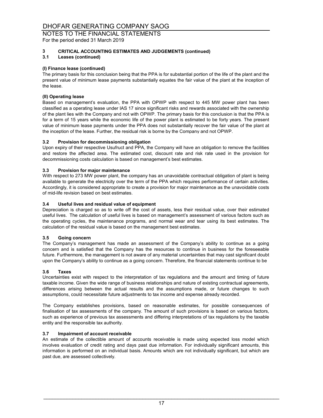NOTES TO THE FINANCIAL STATEMENTS For the period ended 31 March 2019

#### **3 CRITICAL ACCOUNTING ESTIMATES AND JUDGEMENTS (continued)**

#### **3.1 Leases (continued)**

#### **(I) Finance lease (continued)**

The primary basis for this conclusion being that the PPA is for substantial portion of the life of the plant and the present value of minimum lease payments substantially equates the fair value of the plant at the inception of the lease.

#### **(II) Operating lease**

Based on management's evaluation, the PPA with OPWP with respect to 445 MW power plant has been classified as a operating lease under IAS 17 since significant risks and rewards associated with the ownership of the plant lies with the Company and not with OPWP. The primary basis for this conclusion is that the PPA is for a term of 15 years while the economic life of the power plant is estimated to be forty years. The present value of minimum lease payments under the PPA does not substantially recover the fair value of the plant at the inception of the lease. Further, the residual risk is borne by the Company and not OPWP.

#### **3.2 Provision for decommissioning obligation**

Upon expiry of their respective Usufruct and PPA, the Company will have an obligation to remove the facilities and restore the affected area. The estimated cost, discount rate and risk rate used in the provision for decommissioning costs calculation is based on management's best estimates.

#### **3.3 Provision for major maintenance**

With respect to 273 MW power plant, the company has an unavoidable contractual obligation of plant is being available to generate the electricity over the term of the PPA which requires performance of certain activities. Accordingly, it is considered appropriate to create a provision for major maintenance as the unavoidable costs of mid-life revision based on best estimates.

#### **3.4 Useful lives and residual value of equipment**

Depreciation is charged so as to write off the cost of assets, less their residual value, over their estimated useful lives. The calculation of useful lives is based on management's assessment of various factors such as the operating cycles, the maintenance programs, and normal wear and tear using its best estimates. The calculation of the residual value is based on the management best estimates.

#### **3.5 Going concern**

The Company's management has made an assessment of the Company's ability to continue as a going concern and is satisfied that the Company has the resources to continue in business for the foreseeable future. Furthermore, the management is not aware of any material uncertainties that may cast significant doubt upon the Company's ability to continue as a going concern. Therefore, the financial statements continue to be

#### **3.6 Taxes**

Uncertainties exist with respect to the interpretation of tax regulations and the amount and timing of future taxable income. Given the wide range of business relationships and nature of existing contractual agreements, differences arising between the actual results and the assumptions made, or future changes to such assumptions, could necessitate future adjustments to tax income and expense already recorded.

The Company establishes provisions, based on reasonable estimates, for possible consequences of finalisation of tax assessments of the company. The amount of such provisions is based on various factors, such as experience of previous tax assessments and differing interpretations of tax regulations by the taxable entity and the responsible tax authority.

#### **3.7 Impairment of account receivable**

An estimate of the collectible amount of accounts receivable is made using expected loss model which involves evaluation of credit rating and days past due information. For individually significant amounts, this information is performed on an individual basis. Amounts which are not individually significant, but which are past due, are assessed collectively.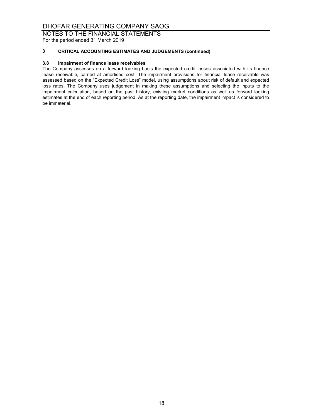NOTES TO THE FINANCIAL STATEMENTS For the period ended 31 March 2019

#### **3 CRITICAL ACCOUNTING ESTIMATES AND JUDGEMENTS (continued)**

#### **3.8 Impairment of finance lease receivables**

The Company assesses on a forward looking basis the expected credit losses associated with its finance lease receivable, carried at amortised cost. The impairment provisions for financial lease receivable was assessed based on the "Expected Credit Loss" model, using assumptions about risk of default and expected loss rates. The Company uses judgement in making these assumptions and selecting the inputs to the impairment calculation, based on the past history, existing market conditions as well as forward looking estimates at the end of each reporting period. As at the reporting date, the impairment impact is considered to be immaterial.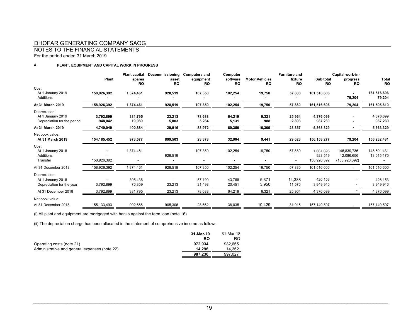NOTES TO THE FINANCIAL STATEMENTS

For the period ended 31 March 2019

#### **4PLANT, EQUIPMENT AND CAPITAL WORK IN PROGRESS**

|                                                                   |                      | <b>Plant capital</b> | Decommissioning    | <b>Computers and</b>   | Computer              |                                    | <b>Furniture and</b> |                                     | Capital work-in-                           |                           |
|-------------------------------------------------------------------|----------------------|----------------------|--------------------|------------------------|-----------------------|------------------------------------|----------------------|-------------------------------------|--------------------------------------------|---------------------------|
|                                                                   | Plant                | spares<br><b>RO</b>  | asset<br><b>RO</b> | equipment<br><b>RO</b> | software<br><b>RO</b> | <b>Motor Vehicles</b><br><b>RO</b> | fixture<br><b>RO</b> | Sub total<br><b>RO</b>              | progress<br><b>RO</b>                      | <b>Total</b><br><b>RO</b> |
| Cost:<br>At 1 January 2019<br>Additions                           | 158,926,392          | 1,374,461            | 928,519            | 107,350                | 102,254               | 19,750                             | 57,880               | 161,516,606                         | 79,204                                     | 161,516,606<br>79,204     |
| At 31 March 2019                                                  | 158,926,392          | 1,374,461            | 928,519            | 107,350                | 102,254               | 19,750                             | 57,880               | 161,516,606                         | 79,204                                     | 161,595,810               |
| Depreciation:<br>At 1 January 2019<br>Depreciation for the period | 3,792,899<br>948,042 | 381,795<br>19,089    | 23,213<br>5,803    | 78,688<br>5,284        | 64,219<br>5,131       | 9,321<br>988                       | 25,964<br>2,893      | 4,376,099<br>987,230                |                                            | 4,376,099<br>987,230      |
| At 31 March 2019                                                  | 4,740,940            | 400,884              | 29,016             | 83,972                 | 69,350                | 10,309                             | 28,857               | 5,363,329                           |                                            | 5,363,329                 |
| Net book value:<br>At 31 March 2019                               | 154,185,452          | 973,577              | 899,503            | 23,378                 | 32,904                | 9,441                              | 29,023               | 156, 153, 277                       | 79,204                                     | 156,232,481               |
| Cost:<br>At 1 January 2018<br><b>Additions</b><br>Transfer        | 158,926,392          | 1,374,461            | 928,519            | 107,350                | 102,254               | 19,750                             | 57,880               | 1,661,695<br>928.519<br>158,926,392 | 146,839,736<br>12,086,656<br>(158,926,392) | 148,501,431<br>13,015,175 |
| At 31 December 2018                                               | 158,926,392          | 1,374,461            | 928,519            | 107,350                | 102,254               | 19,750                             | 57,880               | 161,516,606                         |                                            | 161,516,606               |
| Depreciation:<br>At 1 January 2018<br>Depreciation for the year   | 3,792,899            | 305,436<br>76,359    | 23,213             | 57,190<br>21,498       | 43,768<br>20,451      | 5,371<br>3,950                     | 14,388<br>11,576     | 426,153<br>3,949,946                | $\blacksquare$<br>$\overline{\phantom{0}}$ | 426,153<br>3,949,946      |
| At 31 December 2018                                               | 3,792,899            | 381,795              | 23,213             | 78,688                 | 64,219                | 9,321                              | 25,964               | 4,376,099                           |                                            | 4,376,099                 |
| Net book value:<br>At 31 December 2018                            | 155, 133, 493        | 992,666              | 905,306            | 28,662                 | 38,035                | 10,429                             | 31,916               |                                     |                                            | 157,140,507               |
|                                                                   |                      |                      |                    |                        |                       |                                    |                      | 157,140,507                         |                                            |                           |

(i) All plant and equipment are mortgaged with banks against the term loan (note 16)

(ii) The depreciation charge has been allocated in the statement of comprehensive income as follows:

|                                               | 31-Mar-19 | 31-Mar-18 |
|-----------------------------------------------|-----------|-----------|
|                                               | RO        |           |
| Operating costs (note 21)                     | 972.934   | 982.665   |
| Administrative and general expenses (note 22) | 14.296    | 14.362    |
|                                               | 987.230   | 997.027   |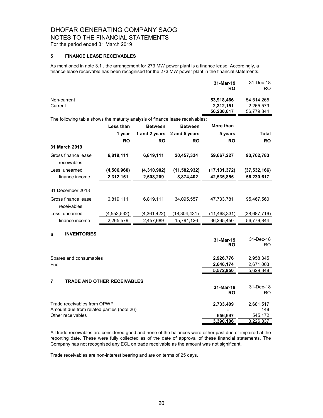### NOTES TO THE FINANCIAL STATEMENTS

For the period ended 31 March 2019

#### **5 FINANCE LEASE RECEIVABLES**

As mentioned in note 3.1 , the arrangement for 273 MW power plant is a finance lease. Accordingly, a finance lease receivable has been recognised for the 273 MW power plant in the financial statements.

|                                                                               |               |                |                | 31-Mar-19<br>RO        | 31-Dec-18<br>RO.       |
|-------------------------------------------------------------------------------|---------------|----------------|----------------|------------------------|------------------------|
| Non-current                                                                   |               |                |                | 53,918,466             | 54,514,265             |
| Current                                                                       |               |                |                | 2,312,151              | 2,265,579              |
|                                                                               |               |                |                | 56,230,617             | 56,779,844             |
| The following table shows the maturity analysis of finance lease receivables: |               |                |                |                        |                        |
|                                                                               | Less than     | <b>Between</b> | <b>Between</b> | More than              |                        |
|                                                                               | 1 year        | 1 and 2 years  | 2 and 5 years  | 5 years                | <b>Total</b>           |
|                                                                               | <b>RO</b>     | <b>RO</b>      | <b>RO</b>      | <b>RO</b>              | <b>RO</b>              |
| <b>31 March 2019</b>                                                          |               |                |                |                        |                        |
| Gross finance lease                                                           | 6,819,111     | 6,819,111      | 20,457,334     | 59,667,227             | 93,762,783             |
| receivables                                                                   |               |                |                |                        |                        |
| Less: unearned                                                                | (4, 506, 960) | (4, 310, 902)  | (11, 582, 932) | (17, 131, 372)         | (37,532,166)           |
| finance income                                                                | 2,312,151     | 2,508,209      | 8,874,402      | 42,535,855             | 56,230,617             |
|                                                                               |               |                |                |                        |                        |
| 31 December 2018                                                              |               |                |                |                        |                        |
| Gross finance lease                                                           | 6,819,111     | 6,819,111      | 34,095,557     | 47,733,781             | 95,467,560             |
| receivables                                                                   |               |                |                |                        |                        |
| Less: unearned                                                                | (4, 553, 532) | (4,361,422)    | (18, 304, 431) | (11,468,331)           | (38,687,716)           |
| finance income                                                                | 2,265,579     | 2,457,689      | 15,791,126     | 36,265,450             | 56,779,844             |
|                                                                               |               |                |                |                        |                        |
| <b>INVENTORIES</b><br>6                                                       |               |                |                |                        |                        |
|                                                                               |               |                |                | 31-Mar-19              | 31-Dec-18              |
|                                                                               |               |                |                | <b>RO</b>              | RO.                    |
|                                                                               |               |                |                |                        |                        |
| Spares and consumables<br>Fuel                                                |               |                |                | 2,926,776<br>2,646,174 | 2,958,345<br>2,671,003 |
|                                                                               |               |                |                | 5,572,950              | 5,629,348              |
|                                                                               |               |                |                |                        |                        |
| 7<br><b>TRADE AND OTHER RECEIVABLES</b>                                       |               |                |                |                        |                        |
|                                                                               |               |                |                | 31-Mar-19<br><b>RO</b> | 31-Dec-18<br>RO.       |
|                                                                               |               |                |                |                        |                        |
| Trade receivables from OPWP                                                   |               |                |                | 2,733,409              | 2,681,517              |
| Amount due from related parties (note 26)                                     |               |                |                |                        | 148                    |
| Other receivables                                                             |               |                |                | 656,697                | 545,172                |
|                                                                               |               |                |                | 3,390,106              | 3,226,837              |

All trade receivables are considered good and none of the balances were either past due or impaired at the reporting date. These were fully collected as of the date of approval of these financial statements. The Company has not recognised any ECL on trade receivable as the amount was not significant.

Trade receivables are non-interest bearing and are on terms of 25 days.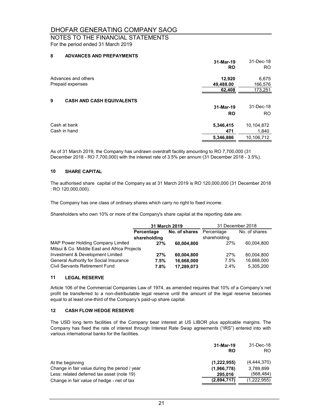## NOTES TO THE FINANCIAL STATEMENTS

For the period ended 31 March 2019

#### **8 ADVANCES AND PREPAYMENTS**

|                                       | 31-Mar-19<br><b>RO</b> | 31-Dec-18<br>RO. |
|---------------------------------------|------------------------|------------------|
| Advances and others                   | 12,920                 | 6,675            |
| Prepaid expenses                      | 49,488.00              | 166,576          |
|                                       | 62,408                 | 173,251          |
| 9<br><b>CASH AND CASH EQUIVALENTS</b> |                        |                  |
|                                       | 31-Mar-19              | 31-Dec-18        |
|                                       | <b>RO</b>              | <b>RO</b>        |
| Cash at bank                          | 5,346,415              | 10,104,872       |
| Cash in hand                          | 471                    | 1,840            |
|                                       | 5,346,886              | 10,106,712       |

As of 31 March 2019, the Company has undrawn overdraft facility amounting to RO 7,700,000 (31 December 2018 - RO 7,700,000) with the interest rate of 3.5% per annum (31 December 2018 - 3.5%).

#### **10 SHARE CAPITAL**

The authorised share capital of the Company as at 31 March 2019 is RO 120,000,000 (31 December 2018 : RO 120,000,000).

The Company has one class of ordinary shares which carry no right to fixed income.

Shareholders who own 10% or more of the Company's share capital at the reporting date are:

|                                              | 31 March 2019               |            | 31 December 2018 |               |
|----------------------------------------------|-----------------------------|------------|------------------|---------------|
|                                              | No. of shares<br>Percentage |            | Percentage       | No. of shares |
|                                              | shareholding                |            | shareholding     |               |
| MAP Power Holding Company Limited            | 27%                         | 60.004.800 | 27%              | 60.004.800    |
| Mitsui & Co. Middle East and Africa Projects |                             |            |                  |               |
| Investment & Development Limited             | 27%                         | 60,004,800 | 27%              | 60,004,800    |
| General Authority for Social Insurance       | $7.5\%$                     | 16,668,000 | 7.5%             | 16.668.000    |
| Civil Servants Retirement Fund               | 7.8%                        | 17,289,073 | $2.4\%$          | 5,305,200     |

#### **11 LEGAL RESERVE**

Article 106 of the Commercial Companies Law of 1974, as amended requires that 10% of a Company's net profit be transferred to a non-distributable legal reserve until the amount of the legal reserve becomes equal to at least one-third of the Company's paid-up share capital.

#### **12 CASH FLOW HEDGE RESERVE**

The USD long term facilities of the Company bear interest at US LIBOR plus applicable margins. The Company has fixed the rate of interest through Interest Rate Swap agreements ("IRS") entered into with various international banks for the facilities.

|                                               | 31-Mar-19<br>RO | 31-Dec-18<br>RO. |
|-----------------------------------------------|-----------------|------------------|
| At the beginning                              | (1,222,955)     | (4,444,370)      |
| Change in fair value during the period / year | (1,966,778)     | 3,789,899        |
| Less: related deferred tax asset (note 19)    | 295.016         | (568, 484)       |
| Change in fair value of hedge - net of tax    | (2,894,717)     | (1,222,955)      |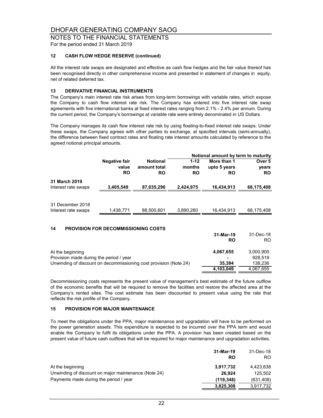#### NOTES TO THE FINANCIAL STATEMENTS

For the period ended 31 March 2019

#### **12 CASH FLOW HEDGE RESERVE (continued)**

All the interest rate swaps are designated and effective as cash flow hedges and the fair value thereof has been recognised directly in other comprehensive income and presented in statement of changes in equity, net of related deferred tax.

#### **13 DERIVATIVE FINANCIAL INSTRUMENTS**

The Company's main interest rate risk arises from long-term borrowings with variable rates, which expose the Company to cash flow interest rate risk. The Company has entered into five interest rate swap agreements with five international banks at fixed interest rates ranging from 2.1% - 2.4% per annum. During the current period, the Company's borrowings at variable rate were entirely denominated in US Dollars.

The Company manages its cash flow interest rate risk by using floating-to-fixed interest rate swaps. Under these swaps, the Company agrees with other parties to exchange, at specified intervals (semi-annually), the difference between fixed contract rates and floating rate interest amounts calculated by reference to the agreed notional principal amounts.

|                     |               |                 |           | Notional amount by term to maturity |            |  |
|---------------------|---------------|-----------------|-----------|-------------------------------------|------------|--|
|                     | Negative fair | <b>Notional</b> | $1 - 12$  | More than 1                         | Over 5     |  |
|                     | value         | amount total    | months    | upto 5 years                        | years      |  |
|                     | <b>RO</b>     | <b>RO</b>       | <b>RO</b> | <b>RO</b>                           | <b>RO</b>  |  |
| 31 March 2019       |               |                 |           |                                     |            |  |
| Interest rate swaps | 3,405,549     | 87,035,296      | 2,424,975 | 16,434,913                          | 68,175,408 |  |
|                     |               |                 |           |                                     |            |  |
| 31 December 2018    |               |                 |           |                                     |            |  |
| Interest rate swaps | 1,438,771     | 88,500,601      | 3,890,280 | 16,434,913                          | 68,175,408 |  |
|                     |               |                 |           |                                     |            |  |

#### **14 PROVISION FOR DECOMMISSIONING COSTS**

|                                                                   | 31-Mar-19 | 31-Dec-18 |
|-------------------------------------------------------------------|-----------|-----------|
|                                                                   | <b>RO</b> | RO.       |
| At the beginning                                                  | 4,067,655 | 3,000,900 |
| Provision made during the period / year                           | -         | 928.519   |
| Unwinding of discount on decommissioning cost provision (Note 24) | 35.394    | 138,236   |
|                                                                   | 4,103,049 | 4.067.655 |

Decommissioning costs represents the present value of management's best estimate of the future outflow of the economic benefits that will be required to remove the facilities and restore the affected area at the Company's rented sites. The cost estimate has been discounted to present value using the rate that reflects the risk profile of the Company.

#### **15 PROVISION FOR MAJOR MAINTENANCE**

To meet the obligations under the PPA, major maintenance and upgradation will have to be performed on the power generation assets. This expenditure is expected to be incurred over the PPA term and would enable the Company to fulfil its obligations under the PPA. A provision has been created based on the present value of future cash outflows that will be required for major maintenance and upgradation activities.

|                                                      | 31-Mar-19<br>RO | 31-Dec-18<br>RO. |
|------------------------------------------------------|-----------------|------------------|
| At the beginning                                     | 3,917,732       | 4,423,638        |
| Unwinding of discount on major maintenance (Note 24) | 26.924          | 125.502          |
| Payments made during the period / year               | (119.348)       | (631, 408)       |
|                                                      | 3,825,308       | 3,917,732        |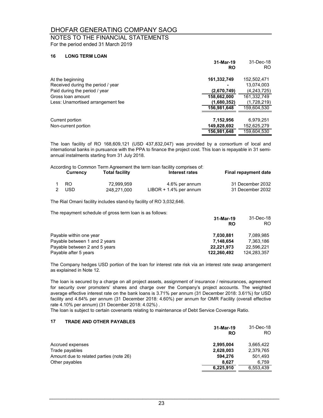#### NOTES TO THE FINANCIAL STATEMENTS For the period ended 31 March 2019

#### **16 LONG TERM LOAN**

|                                   | 31-Mar-19<br><b>RO</b> | 31-Dec-18<br>RO. |
|-----------------------------------|------------------------|------------------|
| At the beginning                  | 161,332,749            | 152,502,471      |
| Received during the period / year |                        | 13,074,003       |
| Paid during the period / year     | (2,670,749)            | (4,243,725)      |
| Gross loan amount                 | 158,662,000            | 161,332,749      |
| Less: Unamortised arrangement fee | (1,680,352)            | (1,728,219)      |
|                                   | 156,981,648            | 159,604,530      |
| Current portion                   | 7,152,956              | 6,979,251        |
| Non-current portion               | 149,828,692            | 152,625,279      |
|                                   | 156,981,648            | 159,604,530      |

The loan facility of RO 168,609,121 (USD 437,832,047) was provided by a consortium of local and international banks in pursuance with the PPA to finance the project cost. This loan is repayable in 31 semiannual instalments starting from 31 July 2018.

|                 |                       | According to Common Term Agreement the term loan facility comprises of: |                      |
|-----------------|-----------------------|-------------------------------------------------------------------------|----------------------|
| <b>Currency</b> | <b>Total facility</b> | Interest rates                                                          | Final repayment date |
| RO.             | 72.999.959            | 4.6% per annum                                                          | 31 December 2032     |
| USD.            | 248.271.000           | $LIBOR + 1.4%$ per annum                                                | 31 December 2032     |

The Rial Omani facility includes stand-by facility of RO 3,032,646.

The repayment schedule of gross term loan is as follows:

|                               | 31-Mar-19<br><b>RO</b> | 31-Dec-18<br>RO. |
|-------------------------------|------------------------|------------------|
| Payable within one year       | 7.030.881              | 7.089.985        |
| Payable between 1 and 2 years | 7.148.654              | 7.363.186        |
| Payable between 2 and 5 years | 22.221.973             | 22.596.221       |
| Payable after 5 years         | 122,260,492            | 124.283.357      |

**31-Mar-19** 31-Dec-18

The Company hedges USD portion of the loan for interest rate risk via an interest rate swap arrangement as explained in Note 12.

The loan is secured by a charge on all project assets, assignment of insurance / reinsurances, agreement for security over promoters' shares and charge over the Company's project accounts. The weighted average effective interest rate on the bank loans is 3.71% per annum (31 December 2018: 3.61%) for USD facility and 4.64% per annum (31 December 2018: 4.60%) per annum for OMR Facility (overall effective rate 4.10% per annum) (31 December 2018: 4.02%) .

The loan is subject to certain covenants relating to maintenance of Debt Service Coverage Ratio.

#### **17 TRADE AND OTHER PAYABLES**

|                                         | 31-Mar-19<br><b>RO</b> | 31-Dec-18<br>RO |
|-----------------------------------------|------------------------|-----------------|
| Accrued expenses                        | 2.995.004              | 3.665.422       |
| Trade payables                          | 2,628,003              | 2,379,765       |
| Amount due to related parties (note 26) | 594.276                | 501.493         |
| Other payables                          | 8.627                  | 6.759           |
|                                         | 6,225,910              | 6,553,439       |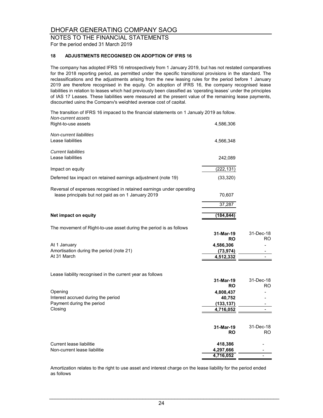#### NOTES TO THE FINANCIAL STATEMENTS

For the period ended 31 March 2019

#### **18 ADJUSTMENTS RECOGNISED ON ADOPTION OF IFRS 16**

The company has adopted IFRS 16 retrospectively from 1 January 2019, but has not restated comparatives for the 2018 reporting period, as permitted under the specific transitional provisions in the standard. The reclassifications and the adjustments arising from the new leasing rules for the period before 1 January 2019 are therefore recognised in the equity. On adoption of IFRS 16, the company recognised lease liabilities in relation to leases which had previously been classified as 'operating leases' under the principles of IAS 17 Leases. These liabilities were measured at the present value of the remaining lease payments, discounted using the Company's weighted average cost of capital.

*Non-current assets* The transition of IFRS 16 impaced to the financial statements on 1 Janualy 2019 as follow.

| Right-to-use assets                                                                                                        | 4,586,306                           |                  |
|----------------------------------------------------------------------------------------------------------------------------|-------------------------------------|------------------|
| <b>Non-current liabilities</b><br>Lease liabilities                                                                        | 4,566,348                           |                  |
| <b>Current liabilities</b><br>Lease liabilities                                                                            | 242,089                             |                  |
| Impact on equity                                                                                                           | (222, 131)                          |                  |
| Deferred tax impact on retained earnings adjustment (note 19)                                                              | (33, 320)                           |                  |
| Reversal of expenses recognised in retained earnings under operating<br>lease principals but not paid as on 1 January 2019 | 70,607                              |                  |
|                                                                                                                            | 37,287                              |                  |
| Net impact on equity                                                                                                       | (184, 844)                          |                  |
| The movement of Right-to-use asset during the period is as follows                                                         | 31-Mar-19                           | 31-Dec-18<br>RO. |
| At 1 January<br>Amortisation during the period (note 21)                                                                   | <b>RO</b><br>4,586,306<br>(73, 974) |                  |
| At 31 March                                                                                                                | 4,512,332                           |                  |
| Lease liability recognised in the current year as follows                                                                  |                                     |                  |
|                                                                                                                            | 31-Mar-19<br>RO                     | 31-Dec-18<br>RO. |
| Opening                                                                                                                    | 4,808,437                           |                  |
| Interest accrued during the period<br>Payment during the period                                                            | 40,752<br>(133, 137)                |                  |
| Closing                                                                                                                    | 4,716,052                           | $\blacksquare$   |
|                                                                                                                            |                                     |                  |
|                                                                                                                            | 31-Mar-19<br>RO                     | 31-Dec-18<br>RO. |
| Current lease liabilitie<br>Non-current lease liabilitie                                                                   | 418,386<br>4,297,666                |                  |
|                                                                                                                            | 4,716,052                           |                  |

Amortization relates to the right to use asset and interest charge on the lease liability for the period ended as follows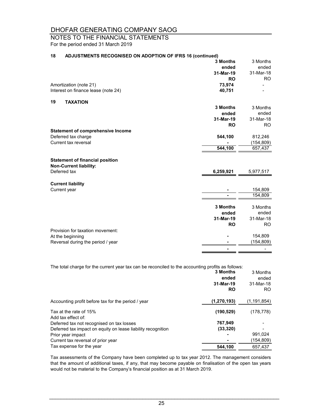### NOTES TO THE FINANCIAL STATEMENTS

For the period ended 31 March 2019

| 18<br><b>ADJUSTMENTS RECOGNISED ON ADOPTION OF IFRS 16 (continued)</b> |           |            |
|------------------------------------------------------------------------|-----------|------------|
|                                                                        | 3 Months  | 3 Months   |
|                                                                        | ended     | ended      |
|                                                                        | 31-Mar-19 | 31-Mar-18  |
|                                                                        | <b>RO</b> | RO.        |
| Amortization (note 21)                                                 | 73,974    |            |
| Interest on finance lease (note 24)                                    | 40,751    |            |
| <b>TAXATION</b>                                                        |           |            |
| 19                                                                     | 3 Months  |            |
|                                                                        |           | 3 Months   |
|                                                                        | ended     | ended      |
|                                                                        | 31-Mar-19 | 31-Mar-18  |
|                                                                        | <b>RO</b> | <b>RO</b>  |
| <b>Statement of comprehensive Income</b>                               |           |            |
| Deferred tax charge                                                    | 544,100   | 812,246    |
| Current tax reversal                                                   |           | (154, 809) |
|                                                                        | 544,100   | 657,437    |
|                                                                        |           |            |
| <b>Statement of financial position</b><br>Non-Current liability:       |           |            |
| Deferred tax                                                           | 6,259,921 |            |
|                                                                        |           | 5,977,517  |
| <b>Current liability</b>                                               |           |            |
| Current year                                                           |           | 154,809    |
|                                                                        |           | 154,809    |
|                                                                        | 3 Months  | 3 Months   |
|                                                                        |           |            |
|                                                                        | ended     | ended      |
|                                                                        | 31-Mar-19 | 31-Mar-18  |
|                                                                        | <b>RO</b> | <b>RO</b>  |
| Provision for taxation movement:                                       |           |            |
| At the beginning                                                       |           | 154,809    |
| Reversal during the period / year                                      |           | (154, 809) |
|                                                                        |           |            |

The total charge for the current year tax can be reconciled to the accounting profits as follows:

|                                                              | 3 Months<br>ended<br>31-Mar-19<br><b>RO</b> | 3 Months<br>ended<br>31-Mar-18<br>RO. |
|--------------------------------------------------------------|---------------------------------------------|---------------------------------------|
| Accounting profit before tax for the period / year           | (1, 270, 193)                               | (1, 191, 854)                         |
| Tax at the rate of 15%<br>Add tax effect of:                 | (190, 529)                                  | (178, 778)                            |
| Deferred tax not recognised on tax losses                    | 767,949                                     |                                       |
| Deferred tax impact on equity on lease liability recognition | (33, 320)                                   |                                       |
| Prior year impact                                            |                                             | 991.024                               |
| Current tax reversal of prior year                           |                                             | (154, 809)                            |
| Tax expense for the year                                     | 544.100                                     | 657.437                               |

Tax assessments of the Company have been completed up to tax year 2012. The management considers that the amount of additional taxes, if any, that may become payable on finalisation of the open tax years would not be material to the Company's financial position as at 31 March 2019.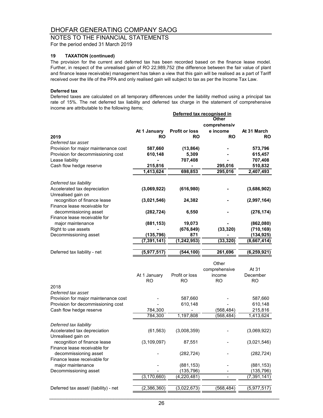#### NOTES TO THE FINANCIAL STATEMENTS

For the period ended 31 March 2019

#### **19 TAXATION (continued)**

The provision for the current and deferred tax has been recorded based on the finance lease model. Further, in respect of the unrealised gain of RO 22,989,752 (the difference between the fair value of plant and finance lease receivable) management has taken a view that this gain will be realised as a part of Tariff received over the life of the PPA and only realised gain will subject to tax as per the Income Tax Law.

#### **Deferred tax**

Deferred taxes are calculated on all temporary differences under the liability method using a principal tax rate of 15%. The net deferred tax liability and deferred tax charge in the statement of comprehensive income are attributable to the following items;

|                                      | Deferred tax recognised in |                       |              |             |
|--------------------------------------|----------------------------|-----------------------|--------------|-------------|
|                                      |                            |                       | <b>Other</b> |             |
|                                      |                            |                       | comprehensiv |             |
|                                      | At 1 January               | <b>Profit or loss</b> | e income     | At 31 March |
| 2019                                 | <b>RO</b>                  | <b>RO</b>             | <b>RO</b>    | <b>RO</b>   |
| Deferred tax asset                   |                            |                       |              |             |
| Provision for major maintenance cost | 587,660                    | (13, 864)             |              | 573,796     |
| Provision for decommissioning cost   | 610,148                    | 5,309                 |              | 615,457     |
| Lease liability                      |                            | 707,408               |              | 707,408     |
| Cash flow hedge reserve              | 215,816                    |                       | 295,016      | 510,832     |
|                                      | 1,413,624                  | 698,853               | 295,016      | 2,407,493   |
|                                      |                            |                       |              |             |
| Deferred tax liability               |                            |                       |              |             |
| Accelerated tax depreciation         | (3,069,922)                | (616,980)             |              | (3,686,902) |
| Unrealised gain on                   |                            |                       |              |             |
| recognition of finance lease         | (3,021,546)                | 24,382                |              | (2,997,164) |
| Finance lease receivable for         |                            |                       |              |             |
| decommissioning asset                | (282, 724)                 | 6,550                 |              | (276, 174)  |
| Finance lease receivable for         |                            |                       |              |             |
| major maintenance                    | (881, 153)                 | 19,073                |              | (862,080)   |
| Right to use assets                  |                            | (676, 849)            | (33, 320)    | (710,169)   |
| Decommissioning asset                | (135, 796)                 | 871                   |              | (134,925)   |
|                                      | (7, 391, 141)              | (1,242,953)           | (33, 320)    | (8,667,414) |
|                                      |                            |                       |              |             |
| Deferred tax liability - net         | (5,977,517)                | (544,100)             | 261,696      | (6,259,921) |

|                                       |               |                | Other<br>comprehensive | At 31         |
|---------------------------------------|---------------|----------------|------------------------|---------------|
|                                       | At 1 January  | Profit or loss | income                 | December      |
|                                       | RO.           | RO.            | RO                     | <b>RO</b>     |
| 2018                                  |               |                |                        |               |
| Deferred tax asset                    |               |                |                        |               |
| Provision for major maintenance cost  |               | 587,660        |                        | 587,660       |
| Provision for decommissioning cost    |               | 610,148        |                        | 610,148       |
| Cash flow hedge reserve               | 784,300       |                | (568,484)              | 215,816       |
|                                       | 784,300       | 1,197,808      | (568,484)              | 1,413,624     |
| Deferred tax liability                |               |                |                        |               |
| Accelerated tax depreciation          | (61, 563)     | (3.008.359)    |                        | (3,069,922)   |
| Unrealised gain on                    |               |                |                        |               |
| recognition of finance lease          | (3, 109, 097) | 87,551         |                        | (3,021,546)   |
| Finance lease receivable for          |               |                |                        |               |
| decommissioning asset                 |               | (282, 724)     |                        | (282, 724)    |
| Finance lease receivable for          |               |                |                        |               |
| major maintenance                     |               | (881, 153)     |                        | (881, 153)    |
| Decommissioning asset                 |               | (135, 796)     |                        | (135, 796)    |
|                                       | (3, 170, 660) | (4,220,481)    |                        | (7, 391, 141) |
|                                       |               |                |                        |               |
| Deferred tax asset/ (liability) - net | (2,386,360)   | (3,022,673)    | (568,484)              | (5,977,517)   |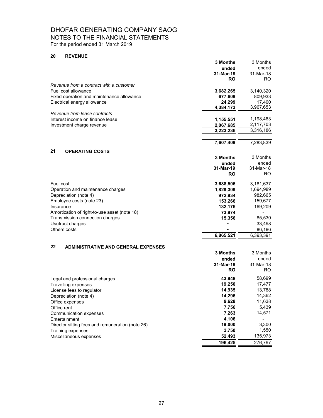# NOTES TO THE FINANCIAL STATEMENTS

For the period ended 31 March 2019

#### **20 REVENUE**

|                                                  | <b>3 Months</b>     | 3 Months            |
|--------------------------------------------------|---------------------|---------------------|
|                                                  | ended               | ended               |
|                                                  | 31-Mar-19           | 31-Mar-18           |
|                                                  | RO                  | RO.                 |
| Revenue from a contract with a customer          |                     |                     |
| Fuel cost allowance                              | 3,682,265           | 3,140,320           |
| Fixed operation and maintenance allowance        | 677,609             | 809,933             |
| Electrical energy allowance                      | 24,299<br>4,384,173 | 17,400<br>3,967,653 |
| Revenue from lease contracts                     |                     |                     |
| Interest income on finance lease                 | 1,155,551           | 1,198,483           |
| Investment charge revenue                        | 2,067,685           | 2,117,703           |
|                                                  | 3,223,236           | 3,316,186           |
|                                                  |                     |                     |
|                                                  | 7,607,409           | <u>7,283,839</u>    |
| 21<br><b>OPERATING COSTS</b>                     |                     |                     |
|                                                  | <b>3 Months</b>     | 3 Months            |
|                                                  | ended               | ended               |
|                                                  | 31-Mar-19           | 31-Mar-18           |
|                                                  | <b>RO</b>           | RO.                 |
| Fuel cost                                        | 3,688,506           | 3,181,637           |
| Operation and maintenance charges                | 1,829,309           | 1,694,989           |
| Depreciation (note 4)                            | 972,934             | 982,665             |
| Employee costs (note 23)                         | 153,266             | 159,677             |
| Insurance                                        | 132,176             | 169,209             |
| Amortization of right-to-use asset (note 18)     | 73,974              |                     |
| Transmission connection charges                  | 15,356              | 85,530              |
| Usufruct charges                                 |                     | 33,498              |
| Others costs                                     |                     | 86,186              |
|                                                  | 6,865,521           | 6,393,391           |
| 22<br><b>ADMINISTRATIVE AND GENERAL EXPENSES</b> |                     |                     |
|                                                  | <b>3 Months</b>     | 3 Months            |
|                                                  | ended               | ended               |
|                                                  | 31-Mar-19           | 31-Mar-18           |
|                                                  | <b>RO</b>           | RO.                 |
| Legal and professional charges                   | 43,948              | 58,699              |
| Travelling expenses                              | 19,250              | 17,477              |
| License fees to regulator                        | 14,935              | 13,788              |
| Depreciation (note 4)                            | 14,296              | 14,362              |
| Office expenses                                  | 9,628               | 11,638              |
| Office rent                                      | 7,756               | 5,439               |
| Communication expenses                           | 7,263               | 14,571              |
| Entertainment                                    | 4,106               |                     |
| Director sitting fees and remuneration (note 26) | 19,000              | 3,300               |
| Training expenses                                | 3,750               | 1,550               |
| Miscellaneous expenses                           | 52,493              | 135,973             |
|                                                  | 196,425             | 276,797             |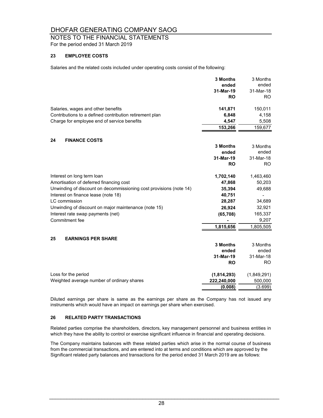#### NOTES TO THE FINANCIAL STATEMENTS

For the period ended 31 March 2019

#### **23 EMPLOYEE COSTS**

Salaries and the related costs included under operating costs consist of the following:

|                                                                    | 3 Months    | 3 Months       |
|--------------------------------------------------------------------|-------------|----------------|
|                                                                    | ended       | ended          |
|                                                                    | 31-Mar-19   | 31-Mar-18      |
|                                                                    | <b>RO</b>   | <b>RO</b>      |
| Salaries, wages and other benefits                                 | 141,871     | 150,011        |
| Contributions to a defined contribution retirement plan            | 6,848       | 4,158          |
| Charge for employee end of service benefits                        | 4,547       | 5,508          |
|                                                                    | 153,266     | 159,677        |
| <b>FINANCE COSTS</b><br>24                                         |             |                |
|                                                                    | 3 Months    | 3 Months       |
|                                                                    | ended       | ended          |
|                                                                    | 31-Mar-19   | 31-Mar-18      |
|                                                                    | <b>RO</b>   | R <sub>O</sub> |
| Interest on long term loan                                         | 1,702,140   | 1,463,460      |
| Amortisation of deferred financing cost                            | 47,868      | 50,203         |
| Unwinding of discount on decommissioning cost provisions (note 14) | 35,394      | 49,688         |
| Interest on finance lease (note 18)                                | 40,751      |                |
| LC commission                                                      | 28,287      | 34,689         |
| Unwinding of discount on major maintenance (note 15)               | 26,924      | 32,921         |
| Interest rate swap payments (net)                                  | (65, 708)   | 165,337        |
| Commitment fee                                                     |             | 9,207          |
|                                                                    | 1,815,656   | 1,805,505      |
| 25<br><b>EARNINGS PER SHARE</b>                                    |             |                |
|                                                                    | 3 Months    | 3 Months       |
|                                                                    | ended       | ended          |
|                                                                    | 31-Mar-19   | 31-Mar-18      |
|                                                                    | <b>RO</b>   | RO.            |
| Loss for the period                                                | (1,814,293) | (1,849,291)    |
| Weighted average number of ordinary shares                         | 222,240,000 | 500,000        |
|                                                                    | (0.008)     | (3.699)        |

Diluted earnings per share is same as the earnings per share as the Company has not issued any instruments which would have an impact on earnings per share when exercised.

#### **26 RELATED PARTY TRANSACTIONS**

Related parties comprise the shareholders, directors, key management personnel and business entities in which they have the ability to control or exercise significant influence in financial and operating decisions.

The Company maintains balances with these related parties which arise in the normal course of business from the commercial transactions, and are entered into at terms and conditions which are approved by the Significant related party balances and transactions for the period ended 31 March 2019 are as follows: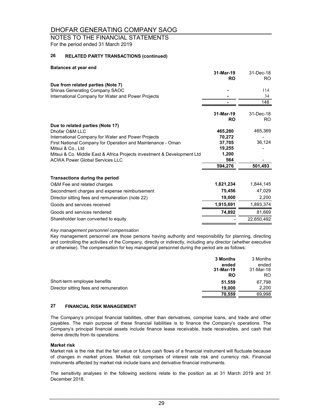## NOTES TO THE FINANCIAL STATEMENTS

For the period ended 31 March 2019

#### **26 RELATED PARTY TRANSACTIONS (continued)**

| <b>Balances at year end</b>                                                      |                        |                  |
|----------------------------------------------------------------------------------|------------------------|------------------|
|                                                                                  | 31-Mar-19<br><b>RO</b> | 31-Dec-18<br>RO. |
| Due from related parties (Note 7)                                                |                        |                  |
| Shinas Generating Company SAOC                                                   |                        | 114              |
| International Company for Water and Power Projects                               |                        | 34               |
|                                                                                  |                        | 148              |
|                                                                                  | 31-Mar-19              | 31-Dec-18        |
|                                                                                  | <b>RO</b>              | RO.              |
| Due to related parties (Note 17)<br>Dhofar O&M LLC                               |                        | 465,369          |
|                                                                                  | 465,280<br>70,272      |                  |
| International Company for Water and Power Projects                               | 37,705                 | 36,124           |
| First National Company for Operation and Maintenance - Oman<br>Mitsui & Co., Ltd | 19,255                 |                  |
| Mitsui & Co. Middle East & Africa Projects investment & Development Ltd          | 1,200                  |                  |
| <b>ACWA Power Global Services LLC</b>                                            | 564                    |                  |
|                                                                                  | 594,276                | 501,493          |
| Transactions during the period                                                   |                        |                  |
| O&M Fee and related charges                                                      | 1,821,234              | 1,844,145        |
| Secondment charges and expense reimbursement                                     | 75,456                 | 47,029           |
| Director sitting fees and remuneration (note 22)                                 | 19,000                 | 2,200            |
| Goods and services received                                                      | 1,915,691              | 1,893,374        |
| Goods and services rendered                                                      | 74.892                 | 81,669           |
| Shareholder loan converted to equity                                             |                        | 22,650,492       |
|                                                                                  |                        |                  |

#### *Key management personnel compensation*

Key management personnel are those persons having authority and responsibility for planning, directing and controlling the activities of the Company, directly or indirectly, including any director (whether executive or otherwise). The compensation for key managerial personnel during the period are as follows:

|                                        | 3 Months<br>ended<br>31-Mar-19<br><b>RO</b> | 3 Months<br>ended<br>31-Mar-18<br>RO |
|----------------------------------------|---------------------------------------------|--------------------------------------|
| Short-term employee benefits           | 51,559                                      | 67,798                               |
| Director sitting fees and remuneration | 19.000                                      | 2,200                                |
|                                        | 70,559                                      | 69,998                               |

#### **27 FINANCIAL RISK MANAGEMENT**

The Company's principal financial liabilities, other than derivatives, comprise loans, and trade and other payables. The main purpose of these financial liabilities is to finance the Company's operations. The Company's principal financial assets include finance lease receivable, trade receivables, and cash that derive directly from its operations.

#### **Market risk**

Market risk is the risk that the fair value or future cash flows of a financial instrument will fluctuate because of changes in market prices. Market risk comprises of interest rate risk and currency risk. Financial instruments affected by market risk include loans and derivative financial instruments.

The sensitivity analyses in the following sections relate to the position as at 31 March 2019 and 31 December 2018.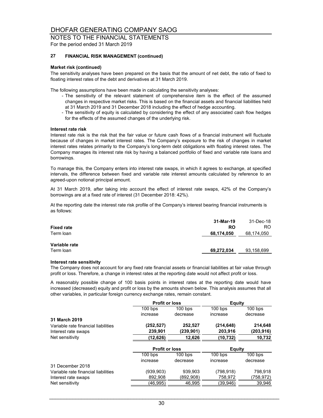## NOTES TO THE FINANCIAL STATEMENTS

For the period ended 31 March 2019

#### **27 FINANCIAL RISK MANAGEMENT (continued)**

#### **Market risk (continued)**

The sensitivity analyses have been prepared on the basis that the amount of net debt, the ratio of fixed to floating interest rates of the debt and derivatives at 31 March 2019.

The following assumptions have been made in calculating the sensitivity analyses:

- The sensitivity of the relevant statement of comprehensive item is the effect of the assumed changes in respective market risks. This is based on the financial assets and financial liabilities held at 31 March 2019 and 31 December 2018 including the effect of hedge accounting.
- The sensitivity of equity is calculated by considering the effect of any associated cash flow hedges for the effects of the assumed changes of the underlying risk.

#### **Interest rate risk**

Interest rate risk is the risk that the fair value or future cash flows of a financial instrument will fluctuate because of changes in market interest rates. The Company's exposure to the risk of changes in market interest rates relates primarily to the Company's long-term debt obligations with floating interest rates. The Company manages its interest rate risk by having a balanced portfolio of fixed and variable rate loans and borrowings.

To manage this, the Company enters into interest rate swaps, in which it agrees to exchange, at specified intervals, the difference between fixed and variable rate interest amounts calculated by reference to an agreed-upon notional principal amount.

At 31 March 2019, after taking into account the effect of interest rate swaps, 42% of the Company's borrowings are at a fixed rate of interest (31 December 2018: 42%).

At the reporting date the interest rate risk profile of the Company's interest bearing financial instruments is as follows:

| <b>Fixed rate</b> | 31-Mar-19<br><b>RO</b> | 31-Dec-18<br>RO. |
|-------------------|------------------------|------------------|
| Term loan         | 68,174,050             | 68,174,050       |
| Variable rate     |                        |                  |
| Term loan         | 69,272,034             | 93,158,699       |

#### **Interest rate sensitivity**

The Company does not account for any fixed rate financial assets or financial liabilities at fair value through profit or loss. Therefore, a change in interest rates at the reporting date would not affect profit or loss.

A reasonably possible change of 100 basis points in interest rates at the reporting date would have increased (decreased) equity and profit or loss by the amounts shown below. This analysis assumes that all other variables, in particular foreign currency exchange rates, remain constant.

|                                     | <b>Profit or loss</b> |           | Equity     |           |
|-------------------------------------|-----------------------|-----------|------------|-----------|
|                                     | $100$ bps             | $100$ bps | $100$ bps  | $100$ bps |
|                                     | increase              | decrease  | increase   | decrease  |
| 31 March 2019                       |                       |           |            |           |
| Variable rate financial liabilities | (252,527)             | 252,527   | (214, 648) | 214,648   |
| Interest rate swaps                 | 239,901               | (239,901) | 203,916    | (203,916) |
| Net sensitivity                     | (12, 626)             | 12,626    | (10,732)   | 10,732    |
|                                     | <b>Profit or loss</b> |           | Equity     |           |
|                                     | $100$ bps             | $100$ bps | $100$ bps  | $100$ bps |
|                                     | increase              | decrease  | increase   | decrease  |
| 31 December 2018                    |                       |           |            |           |
| Variable rate financial liabilities | (939, 903)            | 939,903   | (798,918)  | 798,918   |
| Interest rate swaps                 | 892,908               | (892,908) | 758,972    | (758,972) |
| Net sensitivity                     | (46,995)              | 46,995    | (39,946)   | 39,946    |
|                                     |                       |           |            |           |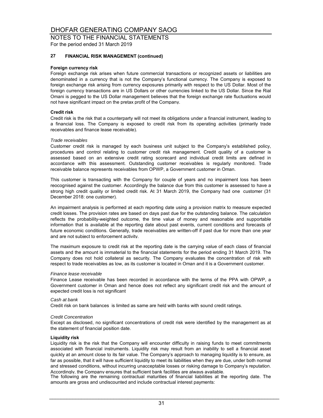# NOTES TO THE FINANCIAL STATEMENTS

For the period ended 31 March 2019

#### **27 FINANCIAL RISK MANAGEMENT (continued)**

#### **Foreign currency risk**

Foreign exchange risk arises when future commercial transactions or recognized assets or liabilities are denominated in a currency that is not the Company's functional currency. The Company is exposed to foreign exchange risk arising from currency exposures primarily with respect to the US Dollar. Most of the foreign currency transactions are in US Dollars or other currencies linked to the US Dollar. Since the Rial Omani is pegged to the US Dollar management believes that the foreign exchange rate fluctuations would not have significant impact on the pretax profit of the Company.

#### **Credit risk**

Credit risk is the risk that a counterparty will not meet its obligations under a financial instrument, leading to a financial loss. The Company is exposed to credit risk from its operating activities (primarily trade receivables and finance lease receivable).

#### *Trade receivables*

Customer credit risk is managed by each business unit subject to the Company's established policy, procedures and control relating to customer credit risk management. Credit quality of a customer is assessed based on an extensive credit rating scorecard and individual credit limits are defined in accordance with this assessment. Outstanding customer receivables is regularly monitored. Trade receivable balance represents receivables from OPWP, a Government customer in Oman.

This customer is transacting with the Company for couple of years and no impairment loss has been reocognised against the customer. Accordingly the balance due from this customer is assessed to have a strong high credit quality or limited credit risk. At 31 March 2019, the Company had one customer (31 December 2018: one customer).

An impairment analysis is performed at each reporting date using a provision matrix to measure expected credit losses. The provision rates are based on days past due for the outstanding balance. The calculation reflects the probability-weighted outcome, the time value of money and reasonable and supportable information that is available at the reporting date about past events, current conditions and forecasts of future economic conditions. Generally, trade receivables are written-off if past due for more than one year and are not subject to enforcement activity.

The maximum exposure to credit risk at the reporting date is the carrying value of each class of financial assets and the amount is immaterial to the financial statements for the period ending 31 March 2019. The Company does not hold collateral as security. The Company evaluates the concentration of risk with respect to trade receivables as low, as its customer is located in Oman and it is a Government customer.

#### *Finance lease receivable*

Finance Lease receivable has been recorded in accordance with the terms of the PPA with OPWP, a Government customer in Oman and hence does not reflect any significant credit risk and the amount of expected credit loss is not significant

#### *Cash at bank*

Credit risk on bank balances is limited as same are held with banks with sound credit ratings.

#### *Credit Concentration*

Except as disclosed, no significant concentrations of credit risk were identified by the management as at the statement of financial position date.

#### **Liquidity risk**

Liquidity risk is the risk that the Company will encounter difficulty in raising funds to meet commitments associated with financial instruments. Liquidity risk may result from an inability to sell a financial asset quickly at an amount close to its fair value. The Company's approach to managing liquidity is to ensure, as far as possible, that it will have sufficient liquidity to meet its liabilities when they are due, under both normal and stressed conditions, without incurring unacceptable losses or risking damage to Company's reputation. Accordingly, the Company ensures that sufficient bank facilities are always available.

The following are the remaining contractual maturities of financial liabilities at the reporting date. The amounts are gross and undiscounted and include contractual interest payments: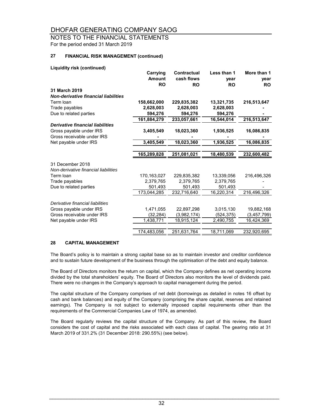### NOTES TO THE FINANCIAL STATEMENTS

For the period ended 31 March 2019

#### **27 FINANCIAL RISK MANAGEMENT (continued)**

#### **Liquidity risk (continued)**

|                                      | Carrying      | Contractual | Less than 1 | More than 1 |
|--------------------------------------|---------------|-------------|-------------|-------------|
|                                      | <b>Amount</b> | cash flows  | year        | year        |
|                                      | <b>RO</b>     | <b>RO</b>   | <b>RO</b>   | <b>RO</b>   |
| 31 March 2019                        |               |             |             |             |
| Non-derivative financial liabilities |               |             |             |             |
| Term loan                            | 158,662,000   | 229,835,382 | 13,321,735  | 216,513,647 |
| Trade payables                       | 2,628,003     | 2,628,003   | 2,628,003   |             |
| Due to related parties               | 594,276       | 594,276     | 594,276     |             |
|                                      | 161,884,279   | 233,057,661 | 16,544,014  | 216,513,647 |
| Derivative financial liabilities     |               |             |             |             |
| Gross payable under IRS              | 3,405,549     | 18,023,360  | 1,936,525   | 16,086,835  |
| Gross receivable under IRS           |               |             |             |             |
| Net payable under IRS                | 3,405,549     | 18,023,360  | 1,936,525   | 16,086,835  |
|                                      |               |             |             |             |
|                                      | 165,289,828   | 251,081,021 | 18,480,539  | 232,600,482 |
| 31 December 2018                     |               |             |             |             |
| Non-derivative financial liabilities |               |             |             |             |
| Term loan                            | 170,163,027   | 229,835,382 | 13,339,056  | 216,496,326 |
| Trade payables                       | 2,379,765     | 2,379,765   | 2,379,765   |             |
| Due to related parties               | 501,493       | 501,493     | 501,493     |             |
|                                      | 173,044,285   | 232,716,640 | 16,220,314  | 216,496,326 |
|                                      |               |             |             |             |
| Derivative financial liabilities     |               |             |             |             |
| Gross payable under IRS              | 1.471.055     | 22,897,298  | 3,015,130   | 19,882,168  |
| Gross receivable under IRS           | (32, 284)     | (3,982,174) | (524, 375)  | (3,457,799) |
| Net payable under IRS                | 1,438,771     | 18,915,124  | 2,490,755   | 16,424,369  |
|                                      |               |             |             |             |
|                                      | 174,483,056   | 251,631,764 | 18,711,069  | 232,920,695 |
|                                      |               |             |             |             |

#### **28 CAPITAL MANAGEMENT**

The Board's policy is to maintain a strong capital base so as to maintain investor and creditor confidence and to sustain future development of the business through the optimisation of the debt and equity balance.

The Board of Directors monitors the return on capital, which the Company defines as net operating income divided by the total shareholders' equity. The Board of Directors also monitors the level of dividends paid. There were no changes in the Company's approach to capital management during the period.

The capital structure of the Company comprises of net debt (borrowings as detailed in notes 16 offset by cash and bank balances) and equity of the Company (comprising the share capital, reserves and retained earnings). The Company is not subject to externally imposed capital requirements other than the requirements of the Commercial Companies Law of 1974, as amended.

The Board regularly reviews the capital structure of the Company. As part of this review, the Board considers the cost of capital and the risks associated with each class of capital. The gearing ratio at 31 March 2019 of 331.2% (31 December 2018: 290.55%) (see below).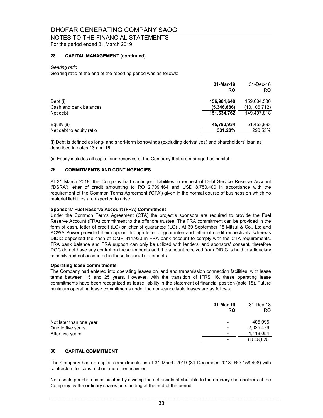# NOTES TO THE FINANCIAL STATEMENTS

For the period ended 31 March 2019

#### **28 CAPITAL MANAGEMENT (continued)**

#### *Gearing ratio*

Gearing ratio at the end of the reporting period was as follows:

|                          | 31-Mar-19<br>RO | 31-Dec-18<br>RO |
|--------------------------|-----------------|-----------------|
| Debt (i)                 | 156,981,648     | 159,604,530     |
| Cash and bank balances   | (5,346,886)     | (10, 106, 712)  |
| Net debt                 | 151.634.762     | 149.497.818     |
| Equity (ii)              | 45,782,934      | 51,453,993      |
| Net debt to equity ratio | 331.20%         | 290.55%         |

(i) Debt is defined as long- and short-term borrowings (excluding derivatives) and shareholders' loan as described in notes 13 and 16

(ii) Equity includes all capital and reserves of the Company that are managed as capital.

#### **29 COMMITMENTS AND CONTINGENCIES**

At 31 March 2019, the Company had contingent liabilities in respect of Debt Service Reserve Account ('DSRA') letter of credit amounting to RO 2,709,464 and USD 8,750,400 in accordance with the requirement of the Common Terms Agreement ('CTA') given in the normal course of business on which no material liabilities are expected to arise.

#### **Sponsors' Fuel Reserve Account (FRA) Commitment**

Under the Common Terms Agreement (CTA) the project's sponsors are required to provide the Fuel Reserve Account (FRA) commitment to the offshore trustee. The FRA commitment can be provided in the form of cash, letter of credit (LC) or letter of guarantee (LG) . At 30 September 18 Mitsui & Co., Ltd and ACWA Power provided their support through letter of guarantee and letter of credit respectively, whereas DIDIC deposited the cash of OMR 311,930 in FRA bank account to comply with the CTA requirements. FRA bank balance and FRA support can only be utilized with lenders' and sponsors' consent, therefore DGC do not have any control on these amounts and the amount received from DIDIC is held in a fiduciary capacity and not accounted in these financial statements.

#### **Operating lease commitments**

The Company had entered into operating leases on land and transmission connection facilities, with lease terms between 15 and 25 years. However, with the transition of IFRS 16, these operating lease commitments have been recognized as lease liability in the statement of financial position (note 18). Future minimum operating lease commitments under the non-cancellable leases are as follows;

|                         | 31-Mar-19<br><b>RO</b>   | 31-Dec-18<br>RO. |
|-------------------------|--------------------------|------------------|
| Not later than one year | $\blacksquare$           | 405,095          |
| One to five years       | $\overline{\phantom{0}}$ | 2,025,476        |
| After five years        | $\overline{\phantom{0}}$ | 4,118,054        |
|                         | $\overline{\phantom{0}}$ | 6,548,625        |
|                         |                          |                  |

#### **30 CAPITAL COMMITMENT**

The Company has no capital commitments as of 31 March 2019 (31 December 2018: RO 158,408) with contractors for construction and other activities.

Net assets per share is calculated by dividing the net assets attributable to the ordinary shareholders of the Company by the ordinary shares outstanding at the end of the period.